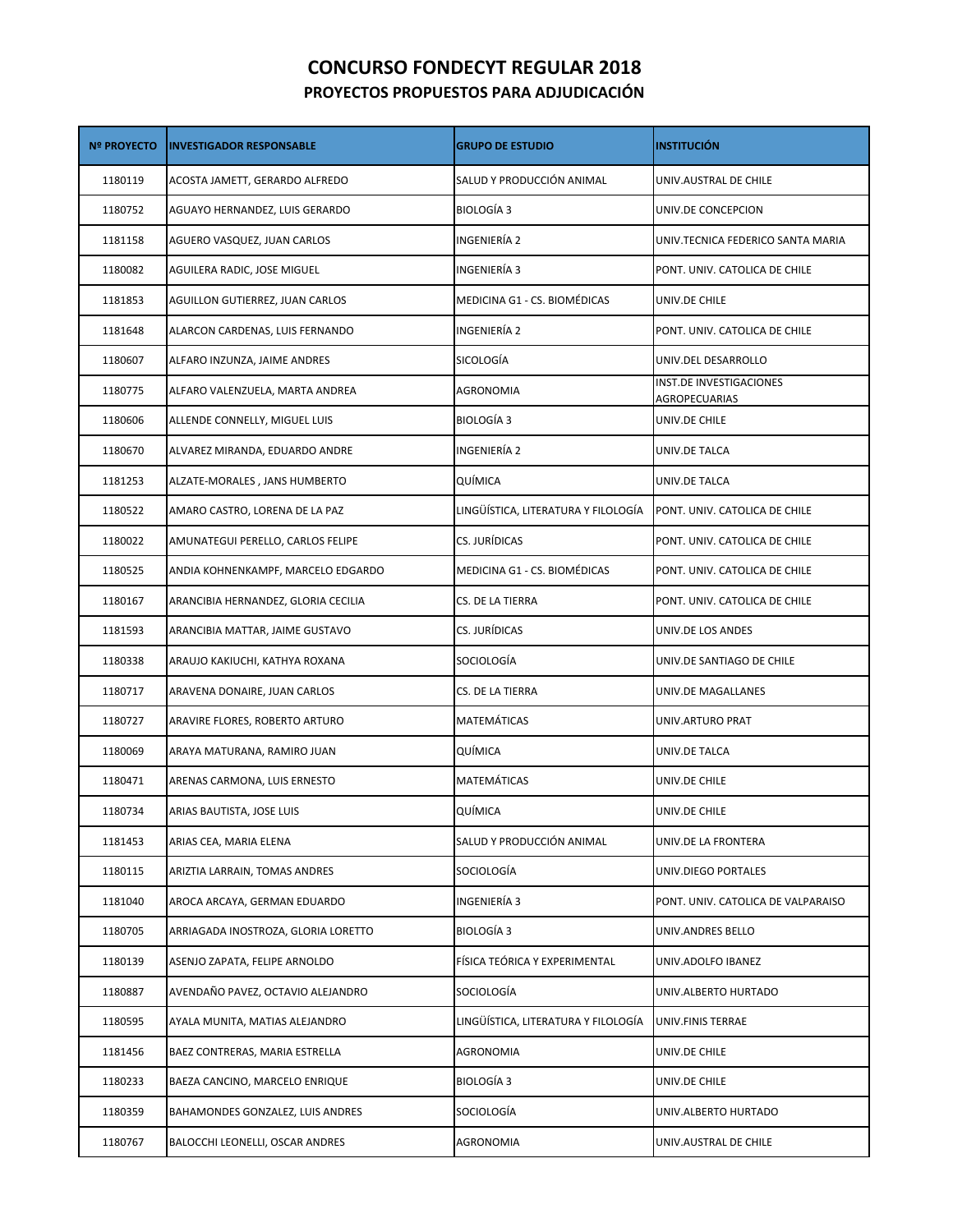## **CONCURSO FONDECYT REGULAR 2018 PROYECTOS PROPUESTOS PARA ADJUDICACIÓN**

| <b>Nº PROYECTO</b> | <b>INVESTIGADOR RESPONSABLE</b>     | <b>GRUPO DE ESTUDIO</b>             | <b>INSTITUCIÓN</b>                       |
|--------------------|-------------------------------------|-------------------------------------|------------------------------------------|
| 1180119            | ACOSTA JAMETT, GERARDO ALFREDO      | SALUD Y PRODUCCIÓN ANIMAL           | UNIV.AUSTRAL DE CHILE                    |
| 1180752            | AGUAYO HERNANDEZ, LUIS GERARDO      | <b>BIOLOGÍA 3</b>                   | UNIV.DE CONCEPCION                       |
| 1181158            | AGUERO VASQUEZ, JUAN CARLOS         | INGENIERÍA 2                        | UNIV.TECNICA FEDERICO SANTA MARIA        |
| 1180082            | AGUILERA RADIC, JOSE MIGUEL         | INGENIERÍA 3                        | PONT. UNIV. CATOLICA DE CHILE            |
| 1181853            | AGUILLON GUTIERREZ, JUAN CARLOS     | MEDICINA G1 - CS. BIOMÉDICAS        | UNIV.DE CHILE                            |
| 1181648            | ALARCON CARDENAS, LUIS FERNANDO     | INGENIERÍA 2                        | PONT. UNIV. CATOLICA DE CHILE            |
| 1180607            | ALFARO INZUNZA, JAIME ANDRES        | SICOLOGÍA                           | UNIV.DEL DESARROLLO                      |
| 1180775            | ALFARO VALENZUELA, MARTA ANDREA     | AGRONOMIA                           | INST.DE INVESTIGACIONES<br>AGROPECUARIAS |
| 1180606            | ALLENDE CONNELLY, MIGUEL LUIS       | <b>BIOLOGÍA 3</b>                   | UNIV.DE CHILE                            |
| 1180670            | ALVAREZ MIRANDA, EDUARDO ANDRE      | INGENIERÍA 2                        | UNIV.DE TALCA                            |
| 1181253            | ALZATE-MORALES, JANS HUMBERTO       | QUÍMICA                             | UNIV.DE TALCA                            |
| 1180522            | AMARO CASTRO, LORENA DE LA PAZ      | LINGÜÍSTICA, LITERATURA Y FILOLOGÍA | PONT. UNIV. CATOLICA DE CHILE            |
| 1180022            | AMUNATEGUI PERELLO, CARLOS FELIPE   | CS. JURÍDICAS                       | PONT. UNIV. CATOLICA DE CHILE            |
| 1180525            | ANDIA KOHNENKAMPF, MARCELO EDGARDO  | MEDICINA G1 - CS. BIOMÉDICAS        | PONT. UNIV. CATOLICA DE CHILE            |
| 1180167            | ARANCIBIA HERNANDEZ, GLORIA CECILIA | CS. DE LA TIERRA                    | PONT. UNIV. CATOLICA DE CHILE            |
| 1181593            | ARANCIBIA MATTAR, JAIME GUSTAVO     | CS. JURÍDICAS                       | UNIV.DE LOS ANDES                        |
| 1180338            | ARAUJO KAKIUCHI, KATHYA ROXANA      | SOCIOLOGÍA                          | UNIV.DE SANTIAGO DE CHILE                |
| 1180717            | ARAVENA DONAIRE, JUAN CARLOS        | CS. DE LA TIERRA                    | UNIV.DE MAGALLANES                       |
| 1180727            | ARAVIRE FLORES, ROBERTO ARTURO      | MATEMÁTICAS                         | UNIV.ARTURO PRAT                         |
| 1180069            | ARAYA MATURANA, RAMIRO JUAN         | QUÍMICA                             | UNIV.DE TALCA                            |
| 1180471            | ARENAS CARMONA, LUIS ERNESTO        | MATEMÁTICAS                         | UNIV.DE CHILE                            |
| 1180734            | ARIAS BAUTISTA, JOSE LUIS           | QUÍMICA                             | UNIV.DE CHILE                            |
| 1181453            | ARIAS CEA, MARIA ELENA              | SALUD Y PRODUCCIÓN ANIMAL           | UNIV.DE LA FRONTERA                      |
| 1180115            | ARIZTIA LARRAIN, TOMAS ANDRES       | SOCIOLOGÍA                          | UNIV.DIEGO PORTALES                      |
| 1181040            | AROCA ARCAYA, GERMAN EDUARDO        | INGENIERÍA 3                        | PONT. UNIV. CATOLICA DE VALPARAISO       |
| 1180705            | ARRIAGADA INOSTROZA, GLORIA LORETTO | BIOLOGÍA 3                          | UNIV.ANDRES BELLO                        |
| 1180139            | ASENJO ZAPATA, FELIPE ARNOLDO       | FÍSICA TEÓRICA Y EXPERIMENTAL       | UNIV.ADOLFO IBANEZ                       |
| 1180887            | AVENDAÑO PAVEZ, OCTAVIO ALEJANDRO   | SOCIOLOGÍA                          | UNIV.ALBERTO HURTADO                     |
| 1180595            | AYALA MUNITA, MATIAS ALEJANDRO      | LINGÜÍSTICA, LITERATURA Y FILOLOGÍA | UNIV.FINIS TERRAE                        |
| 1181456            | BAEZ CONTRERAS, MARIA ESTRELLA      | AGRONOMIA                           | UNIV.DE CHILE                            |
| 1180233            | BAEZA CANCINO, MARCELO ENRIQUE      | <b>BIOLOGÍA 3</b>                   | UNIV.DE CHILE                            |
| 1180359            | BAHAMONDES GONZALEZ, LUIS ANDRES    | SOCIOLOGÍA                          | UNIV.ALBERTO HURTADO                     |
| 1180767            | BALOCCHI LEONELLI, OSCAR ANDRES     | AGRONOMIA                           | UNIV.AUSTRAL DE CHILE                    |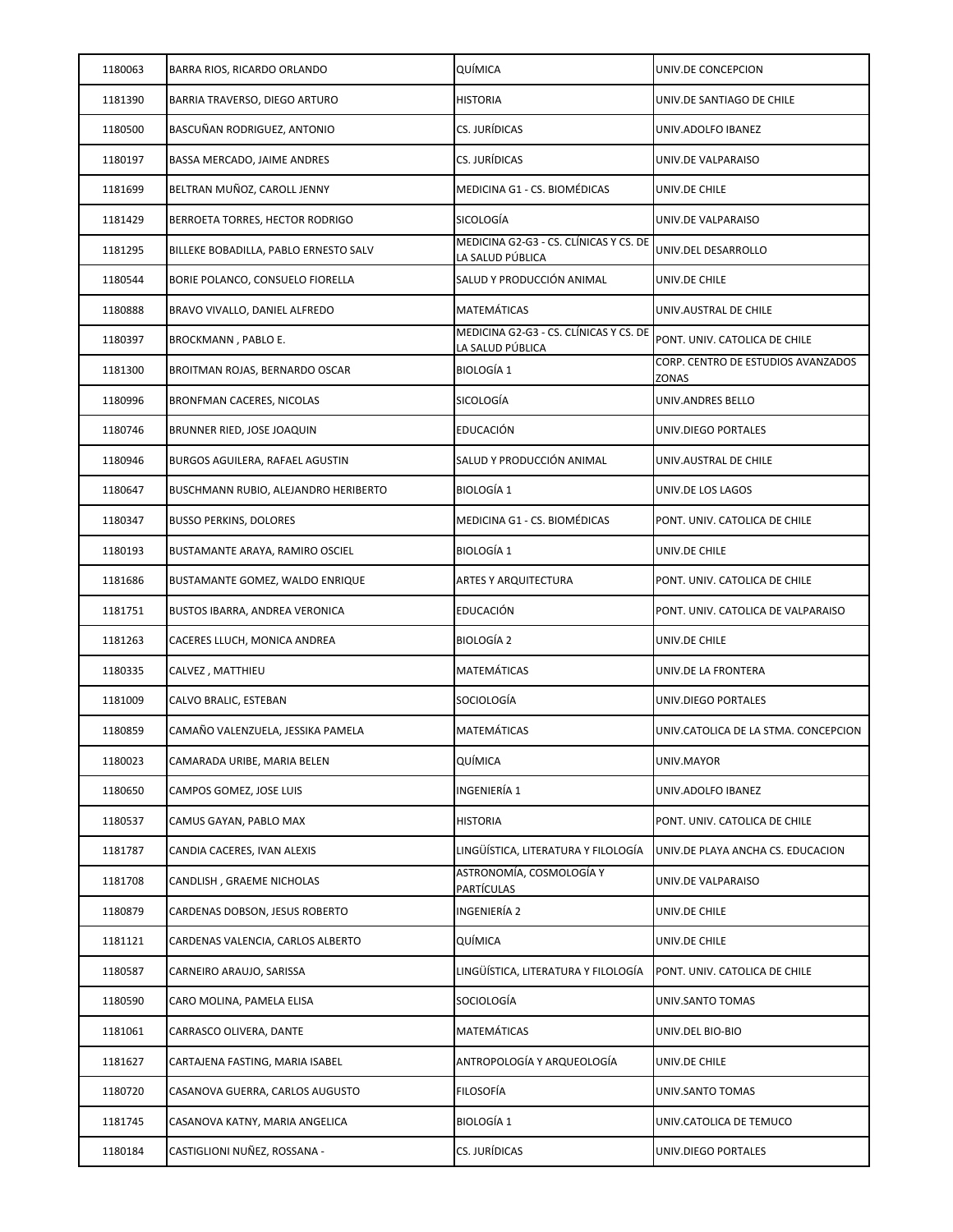| 1180063 | BARRA RIOS, RICARDO ORLANDO           | QUÍMICA                                                    | UNIV.DE CONCEPCION                          |
|---------|---------------------------------------|------------------------------------------------------------|---------------------------------------------|
| 1181390 | BARRIA TRAVERSO, DIEGO ARTURO         | <b>HISTORIA</b>                                            | UNIV.DE SANTIAGO DE CHILE                   |
| 1180500 | BASCUÑAN RODRIGUEZ, ANTONIO           | CS. JURÍDICAS                                              | UNIV.ADOLFO IBANEZ                          |
| 1180197 | BASSA MERCADO, JAIME ANDRES           | CS. JURÍDICAS                                              | UNIV.DE VALPARAISO                          |
| 1181699 | BELTRAN MUÑOZ, CAROLL JENNY           | MEDICINA G1 - CS. BIOMÉDICAS                               | UNIV.DE CHILE                               |
| 1181429 | BERROETA TORRES, HECTOR RODRIGO       | SICOLOGÍA                                                  | UNIV.DE VALPARAISO                          |
| 1181295 | BILLEKE BOBADILLA, PABLO ERNESTO SALV | MEDICINA G2-G3 - CS. CLÍNICAS Y CS. DE<br>LA SALUD PÚBLICA | UNIV.DEL DESARROLLO                         |
| 1180544 | BORIE POLANCO, CONSUELO FIORELLA      | SALUD Y PRODUCCIÓN ANIMAL                                  | UNIV.DE CHILE                               |
| 1180888 | BRAVO VIVALLO, DANIEL ALFREDO         | MATEMÁTICAS                                                | UNIV.AUSTRAL DE CHILE                       |
| 1180397 | BROCKMANN, PABLO E.                   | MEDICINA G2-G3 - CS. CLÍNICAS Y CS. DE<br>LA SALUD PÚBLICA | PONT. UNIV. CATOLICA DE CHILE               |
| 1181300 | BROITMAN ROJAS, BERNARDO OSCAR        | <b>BIOLOGÍA 1</b>                                          | CORP. CENTRO DE ESTUDIOS AVANZADOS<br>ZONAS |
| 1180996 | BRONFMAN CACERES, NICOLAS             | <b>SICOLOGÍA</b>                                           | UNIV.ANDRES BELLO                           |
| 1180746 | BRUNNER RIED, JOSE JOAQUIN            | EDUCACIÓN                                                  | UNIV.DIEGO PORTALES                         |
| 1180946 | BURGOS AGUILERA, RAFAEL AGUSTIN       | SALUD Y PRODUCCIÓN ANIMAL                                  | UNIV.AUSTRAL DE CHILE                       |
| 1180647 | BUSCHMANN RUBIO, ALEJANDRO HERIBERTO  | <b>BIOLOGÍA 1</b>                                          | UNIV.DE LOS LAGOS                           |
| 1180347 | <b>BUSSO PERKINS, DOLORES</b>         | MEDICINA G1 - CS. BIOMÉDICAS                               | PONT. UNIV. CATOLICA DE CHILE               |
| 1180193 | BUSTAMANTE ARAYA, RAMIRO OSCIEL       | <b>BIOLOGÍA 1</b>                                          | UNIV.DE CHILE                               |
| 1181686 | BUSTAMANTE GOMEZ, WALDO ENRIQUE       | ARTES Y ARQUITECTURA                                       | PONT. UNIV. CATOLICA DE CHILE               |
| 1181751 | BUSTOS IBARRA, ANDREA VERONICA        | <b>EDUCACIÓN</b>                                           | PONT. UNIV. CATOLICA DE VALPARAISO          |
| 1181263 | CACERES LLUCH, MONICA ANDREA          | BIOLOGÍA 2                                                 | UNIV.DE CHILE                               |
| 1180335 | CALVEZ, MATTHIEU                      | MATEMÁTICAS                                                | UNIV.DE LA FRONTERA                         |
| 1181009 | CALVO BRALIC, ESTEBAN                 | SOCIOLOGÍA                                                 | UNIV.DIEGO PORTALES                         |
| 1180859 | CAMAÑO VALENZUELA, JESSIKA PAMELA     | MATEMÁTICAS                                                | UNIV.CATOLICA DE LA STMA. CONCEPCION        |
| 1180023 | CAMARADA URIBE, MARIA BELEN           | QUÍMICA                                                    | UNIV.MAYOR                                  |
| 1180650 | CAMPOS GOMEZ, JOSE LUIS               | INGENIERÍA 1                                               | UNIV.ADOLFO IBANEZ                          |
| 1180537 | CAMUS GAYAN, PABLO MAX                | <b>HISTORIA</b>                                            | PONT. UNIV. CATOLICA DE CHILE               |
| 1181787 | CANDIA CACERES, IVAN ALEXIS           | LINGÜÍSTICA, LITERATURA Y FILOLOGÍA                        | UNIV.DE PLAYA ANCHA CS. EDUCACION           |
| 1181708 | CANDLISH, GRAEME NICHOLAS             | ASTRONOMÍA, COSMOLOGÍA Y<br>PARTÍCULAS                     | UNIV.DE VALPARAISO                          |
| 1180879 | CARDENAS DOBSON. JESUS ROBERTO        | INGENIERÍA 2                                               | UNIV.DE CHILE                               |
| 1181121 | CARDENAS VALENCIA, CARLOS ALBERTO     | QUÍMICA                                                    | UNIV.DE CHILE                               |
| 1180587 | CARNEIRO ARAUJO, SARISSA              | LINGÜÍSTICA, LITERATURA Y FILOLOGÍA                        | PONT. UNIV. CATOLICA DE CHILE               |
| 1180590 | CARO MOLINA, PAMELA ELISA             | SOCIOLOGÍA                                                 | UNIV.SANTO TOMAS                            |
| 1181061 | CARRASCO OLIVERA, DANTE               | MATEMÁTICAS                                                | UNIV.DEL BIO-BIO                            |
| 1181627 | CARTAJENA FASTING, MARIA ISABEL       | ANTROPOLOGÍA Y ARQUEOLOGÍA                                 | UNIV.DE CHILE                               |
| 1180720 | CASANOVA GUERRA, CARLOS AUGUSTO       | FILOSOFÍA                                                  | UNIV.SANTO TOMAS                            |
| 1181745 | CASANOVA KATNY, MARIA ANGELICA        | <b>BIOLOGÍA 1</b>                                          | UNIV.CATOLICA DE TEMUCO                     |
| 1180184 | CASTIGLIONI NUÑEZ, ROSSANA -          | CS. JURÍDICAS                                              | UNIV.DIEGO PORTALES                         |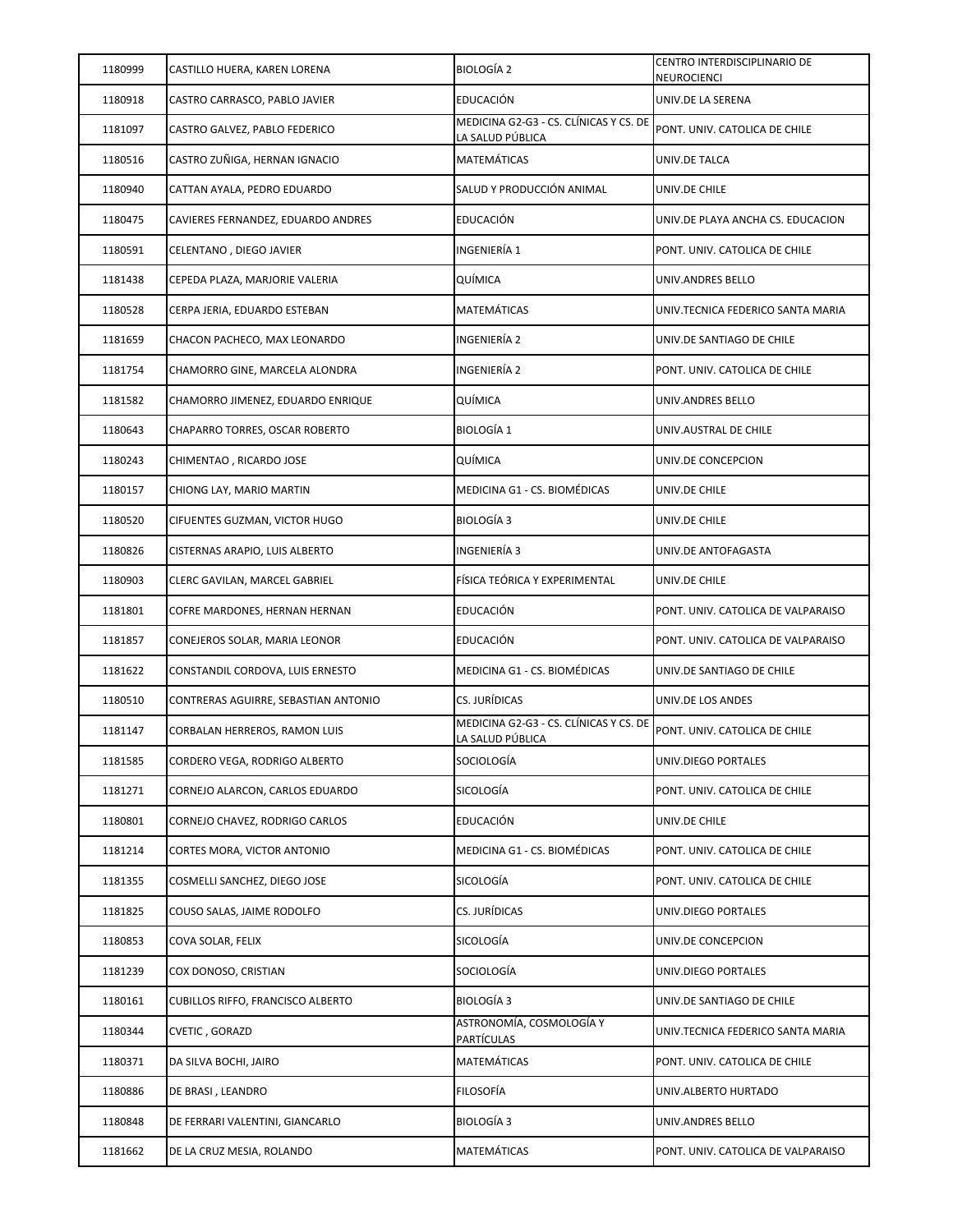| 1180999 | CASTILLO HUERA, KAREN LORENA             | <b>BIOLOGÍA 2</b>                                          | CENTRO INTERDISCIPLINARIO DE<br>NEUROCIENCI |
|---------|------------------------------------------|------------------------------------------------------------|---------------------------------------------|
| 1180918 | CASTRO CARRASCO, PABLO JAVIER            | EDUCACIÓN                                                  | UNIV.DE LA SERENA                           |
| 1181097 | CASTRO GALVEZ, PABLO FEDERICO            | MEDICINA G2-G3 - CS. CLÍNICAS Y CS. DE<br>LA SALUD PÚBLICA | PONT. UNIV. CATOLICA DE CHILE               |
| 1180516 | CASTRO ZUÑIGA, HERNAN IGNACIO            | MATEMÁTICAS                                                | UNIV.DE TALCA                               |
| 1180940 | CATTAN AYALA, PEDRO EDUARDO              | SALUD Y PRODUCCIÓN ANIMAL                                  | UNIV.DE CHILE                               |
| 1180475 | CAVIERES FERNANDEZ, EDUARDO ANDRES       | EDUCACIÓN                                                  | UNIV.DE PLAYA ANCHA CS. EDUCACION           |
| 1180591 | CELENTANO, DIEGO JAVIER                  | INGENIERÍA 1                                               | PONT. UNIV. CATOLICA DE CHILE               |
| 1181438 | CEPEDA PLAZA, MARJORIE VALERIA           | QUÍMICA                                                    | UNIV.ANDRES BELLO                           |
| 1180528 | CERPA JERIA, EDUARDO ESTEBAN             | MATEMÁTICAS                                                | UNIV.TECNICA FEDERICO SANTA MARIA           |
| 1181659 | CHACON PACHECO, MAX LEONARDO             | INGENIERÍA 2                                               | UNIV.DE SANTIAGO DE CHILE                   |
| 1181754 | CHAMORRO GINE, MARCELA ALONDRA           | INGENIERÍA 2                                               | PONT. UNIV. CATOLICA DE CHILE               |
| 1181582 | CHAMORRO JIMENEZ, EDUARDO ENRIQUE        | QUÍMICA                                                    | UNIV.ANDRES BELLO                           |
| 1180643 | CHAPARRO TORRES, OSCAR ROBERTO           | <b>BIOLOGÍA 1</b>                                          | UNIV.AUSTRAL DE CHILE                       |
| 1180243 | CHIMENTAO , RICARDO JOSE                 | QUÍMICA                                                    | UNIV.DE CONCEPCION                          |
| 1180157 | CHIONG LAY, MARIO MARTIN                 | MEDICINA G1 - CS. BIOMÉDICAS                               | UNIV.DE CHILE                               |
| 1180520 | CIFUENTES GUZMAN, VICTOR HUGO            | <b>BIOLOGÍA 3</b>                                          | UNIV.DE CHILE                               |
| 1180826 | CISTERNAS ARAPIO, LUIS ALBERTO           | INGENIERÍA 3                                               | UNIV.DE ANTOFAGASTA                         |
| 1180903 | CLERC GAVILAN, MARCEL GABRIEL            | FÍSICA TEÓRICA Y EXPERIMENTAL                              | UNIV.DE CHILE                               |
| 1181801 | COFRE MARDONES, HERNAN HERNAN            | EDUCACIÓN                                                  | PONT. UNIV. CATOLICA DE VALPARAISO          |
| 1181857 | CONEJEROS SOLAR, MARIA LEONOR            | EDUCACIÓN                                                  | PONT. UNIV. CATOLICA DE VALPARAISO          |
| 1181622 | CONSTANDIL CORDOVA, LUIS ERNESTO         | MEDICINA G1 - CS. BIOMÉDICAS                               | UNIV.DE SANTIAGO DE CHILE                   |
| 1180510 | CONTRERAS AGUIRRE, SEBASTIAN ANTONIO     | CS. JURÍDICAS                                              | UNIV.DE LOS ANDES                           |
| 1181147 | CORBALAN HERREROS, RAMON LUIS            | MEDICINA G2-G3 - CS. CLÍNICAS Y CS. DE<br>LA SALUD PÚBLICA | PONT. UNIV. CATOLICA DE CHILE               |
| 1181585 | CORDERO VEGA, RODRIGO ALBERTO            | SOCIOLOGÍA                                                 | UNIV.DIEGO PORTALES                         |
| 1181271 | CORNEJO ALARCON, CARLOS EDUARDO          | SICOLOGÍA                                                  | PONT. UNIV. CATOLICA DE CHILE               |
| 1180801 | CORNEJO CHAVEZ, RODRIGO CARLOS           | EDUCACIÓN                                                  | UNIV.DE CHILE                               |
| 1181214 | CORTES MORA, VICTOR ANTONIO              | MEDICINA G1 - CS. BIOMÉDICAS                               | PONT. UNIV. CATOLICA DE CHILE               |
| 1181355 | COSMELLI SANCHEZ, DIEGO JOSE             | SICOLOGÍA                                                  | PONT. UNIV. CATOLICA DE CHILE               |
| 1181825 | COUSO SALAS, JAIME RODOLFO               | CS. JURÍDICAS                                              | UNIV.DIEGO PORTALES                         |
| 1180853 | COVA SOLAR, FELIX                        | SICOLOGÍA                                                  | UNIV.DE CONCEPCION                          |
| 1181239 | COX DONOSO, CRISTIAN                     | SOCIOLOGÍA                                                 | UNIV.DIEGO PORTALES                         |
| 1180161 | <b>CUBILLOS RIFFO, FRANCISCO ALBERTO</b> | BIOLOGÍA 3                                                 | UNIV.DE SANTIAGO DE CHILE                   |
| 1180344 | CVETIC, GORAZD                           | ASTRONOMÍA, COSMOLOGÍA Y<br><b>PARTÍCULAS</b>              | UNIV.TECNICA FEDERICO SANTA MARIA           |
| 1180371 | DA SILVA BOCHI, JAIRO                    | MATEMÁTICAS                                                | PONT. UNIV. CATOLICA DE CHILE               |
| 1180886 | DE BRASI, LEANDRO                        | <b>FILOSOFÍA</b>                                           | UNIV.ALBERTO HURTADO                        |
| 1180848 | DE FERRARI VALENTINI, GIANCARLO          | BIOLOGÍA 3                                                 | UNIV.ANDRES BELLO                           |
| 1181662 | DE LA CRUZ MESIA, ROLANDO                | MATEMÁTICAS                                                | PONT. UNIV. CATOLICA DE VALPARAISO          |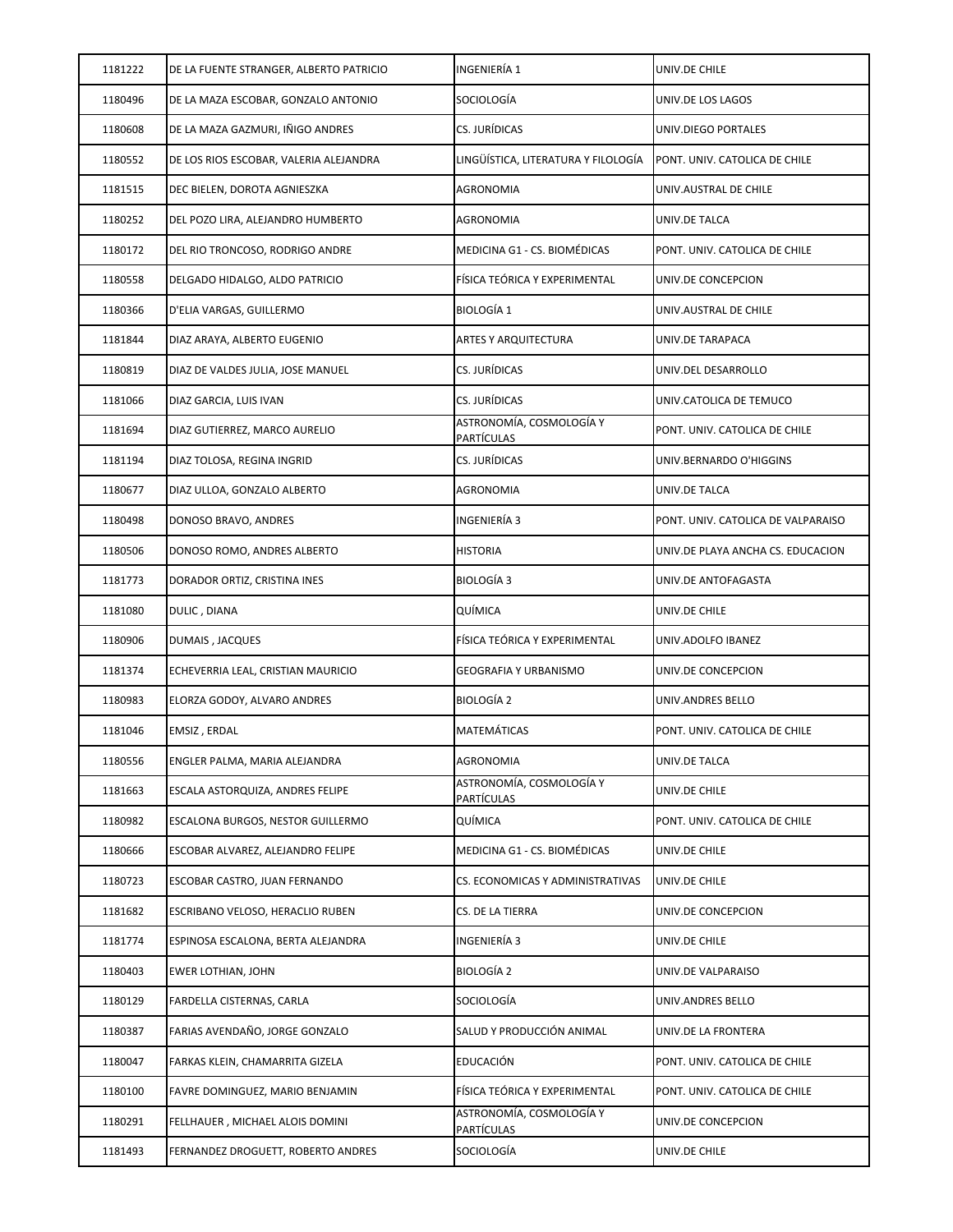| 1181222 | DE LA FUENTE STRANGER, ALBERTO PATRICIO | INGENIERÍA 1                                  | UNIV.DE CHILE                      |
|---------|-----------------------------------------|-----------------------------------------------|------------------------------------|
| 1180496 | DE LA MAZA ESCOBAR, GONZALO ANTONIO     | SOCIOLOGÍA                                    | UNIV.DE LOS LAGOS                  |
| 1180608 | DE LA MAZA GAZMURI, IÑIGO ANDRES        | CS. JURÍDICAS                                 | UNIV.DIEGO PORTALES                |
| 1180552 | DE LOS RIOS ESCOBAR, VALERIA ALEJANDRA  | LINGÜÍSTICA, LITERATURA Y FILOLOGÍA           | PONT. UNIV. CATOLICA DE CHILE      |
| 1181515 | DEC BIELEN, DOROTA AGNIESZKA            | <b>AGRONOMIA</b>                              | UNIV.AUSTRAL DE CHILE              |
| 1180252 | DEL POZO LIRA, ALEJANDRO HUMBERTO       | <b>AGRONOMIA</b>                              | UNIV.DE TALCA                      |
| 1180172 | DEL RIO TRONCOSO, RODRIGO ANDRE         | MEDICINA G1 - CS. BIOMÉDICAS                  | PONT. UNIV. CATOLICA DE CHILE      |
| 1180558 | DELGADO HIDALGO, ALDO PATRICIO          | FÍSICA TEÓRICA Y EXPERIMENTAL                 | UNIV.DE CONCEPCION                 |
| 1180366 | D'ELIA VARGAS, GUILLERMO                | <b>BIOLOGÍA 1</b>                             | UNIV.AUSTRAL DE CHILE              |
| 1181844 | DIAZ ARAYA, ALBERTO EUGENIO             | <b>ARTES Y ARQUITECTURA</b>                   | UNIV.DE TARAPACA                   |
| 1180819 | DIAZ DE VALDES JULIA, JOSE MANUEL       | CS. JURÍDICAS                                 | UNIV.DEL DESARROLLO                |
| 1181066 | DIAZ GARCIA, LUIS IVAN                  | CS. JURÍDICAS                                 | UNIV.CATOLICA DE TEMUCO            |
| 1181694 | DIAZ GUTIERREZ, MARCO AURELIO           | ASTRONOMÍA, COSMOLOGÍA Y<br>PARTÍCULAS        | PONT. UNIV. CATOLICA DE CHILE      |
| 1181194 | DIAZ TOLOSA, REGINA INGRID              | CS. JURÍDICAS                                 | UNIV.BERNARDO O'HIGGINS            |
| 1180677 | DIAZ ULLOA, GONZALO ALBERTO             | <b>AGRONOMIA</b>                              | UNIV.DE TALCA                      |
| 1180498 | DONOSO BRAVO, ANDRES                    | INGENIERÍA 3                                  | PONT. UNIV. CATOLICA DE VALPARAISO |
| 1180506 | DONOSO ROMO, ANDRES ALBERTO             | <b>HISTORIA</b>                               | UNIV.DE PLAYA ANCHA CS. EDUCACION  |
| 1181773 | DORADOR ORTIZ, CRISTINA INES            | <b>BIOLOGÍA 3</b>                             | UNIV.DE ANTOFAGASTA                |
| 1181080 | DULIC, DIANA                            | QUÍMICA                                       | UNIV.DE CHILE                      |
| 1180906 | DUMAIS, JACQUES                         | FÍSICA TEÓRICA Y EXPERIMENTAL                 | UNIV.ADOLFO IBANEZ                 |
| 1181374 | ECHEVERRIA LEAL, CRISTIAN MAURICIO      | <b>GEOGRAFIA Y URBANISMO</b>                  | UNIV.DE CONCEPCION                 |
| 1180983 | ELORZA GODOY, ALVARO ANDRES             | BIOLOGÍA 2                                    | UNIV.ANDRES BELLO                  |
| 1181046 | EMSIZ, ERDAL                            | MATEMÁTICAS                                   | PONT. UNIV. CATOLICA DE CHILE      |
| 1180556 | ENGLER PALMA, MARIA ALEJANDRA           | <b>AGRONOMIA</b>                              | UNIV.DE TALCA                      |
| 1181663 | ESCALA ASTORQUIZA, ANDRES FELIPE        | ASTRONOMÍA, COSMOLOGÍA Y<br><b>PARTÍCULAS</b> | UNIV.DE CHILE                      |
| 1180982 | ESCALONA BURGOS, NESTOR GUILLERMO       | QUÍMICA                                       | PONT. UNIV. CATOLICA DE CHILE      |
| 1180666 | ESCOBAR ALVAREZ, ALEJANDRO FELIPE       | MEDICINA G1 - CS. BIOMÉDICAS                  | UNIV.DE CHILE                      |
| 1180723 | ESCOBAR CASTRO, JUAN FERNANDO           | CS. ECONOMICAS Y ADMINISTRATIVAS              | UNIV.DE CHILE                      |
| 1181682 | ESCRIBANO VELOSO, HERACLIO RUBEN        | CS. DE LA TIERRA                              | UNIV.DE CONCEPCION                 |
| 1181774 | ESPINOSA ESCALONA, BERTA ALEJANDRA      | INGENIERÍA 3                                  | UNIV.DE CHILE                      |
| 1180403 | EWER LOTHIAN, JOHN                      | BIOLOGÍA 2                                    | UNIV.DE VALPARAISO                 |
| 1180129 | FARDELLA CISTERNAS, CARLA               | SOCIOLOGÍA                                    | UNIV.ANDRES BELLO                  |
| 1180387 | FARIAS AVENDAÑO, JORGE GONZALO          | SALUD Y PRODUCCIÓN ANIMAL                     | UNIV.DE LA FRONTERA                |
| 1180047 | FARKAS KLEIN, CHAMARRITA GIZELA         | EDUCACIÓN                                     | PONT. UNIV. CATOLICA DE CHILE      |
| 1180100 | FAVRE DOMINGUEZ, MARIO BENJAMIN         | FÍSICA TEÓRICA Y EXPERIMENTAL                 | PONT. UNIV. CATOLICA DE CHILE      |
| 1180291 | FELLHAUER, MICHAEL ALOIS DOMINI         | ASTRONOMÍA, COSMOLOGÍA Y<br>PARTÍCULAS        | UNIV.DE CONCEPCION                 |
| 1181493 | FERNANDEZ DROGUETT, ROBERTO ANDRES      | SOCIOLOGÍA                                    | UNIV.DE CHILE                      |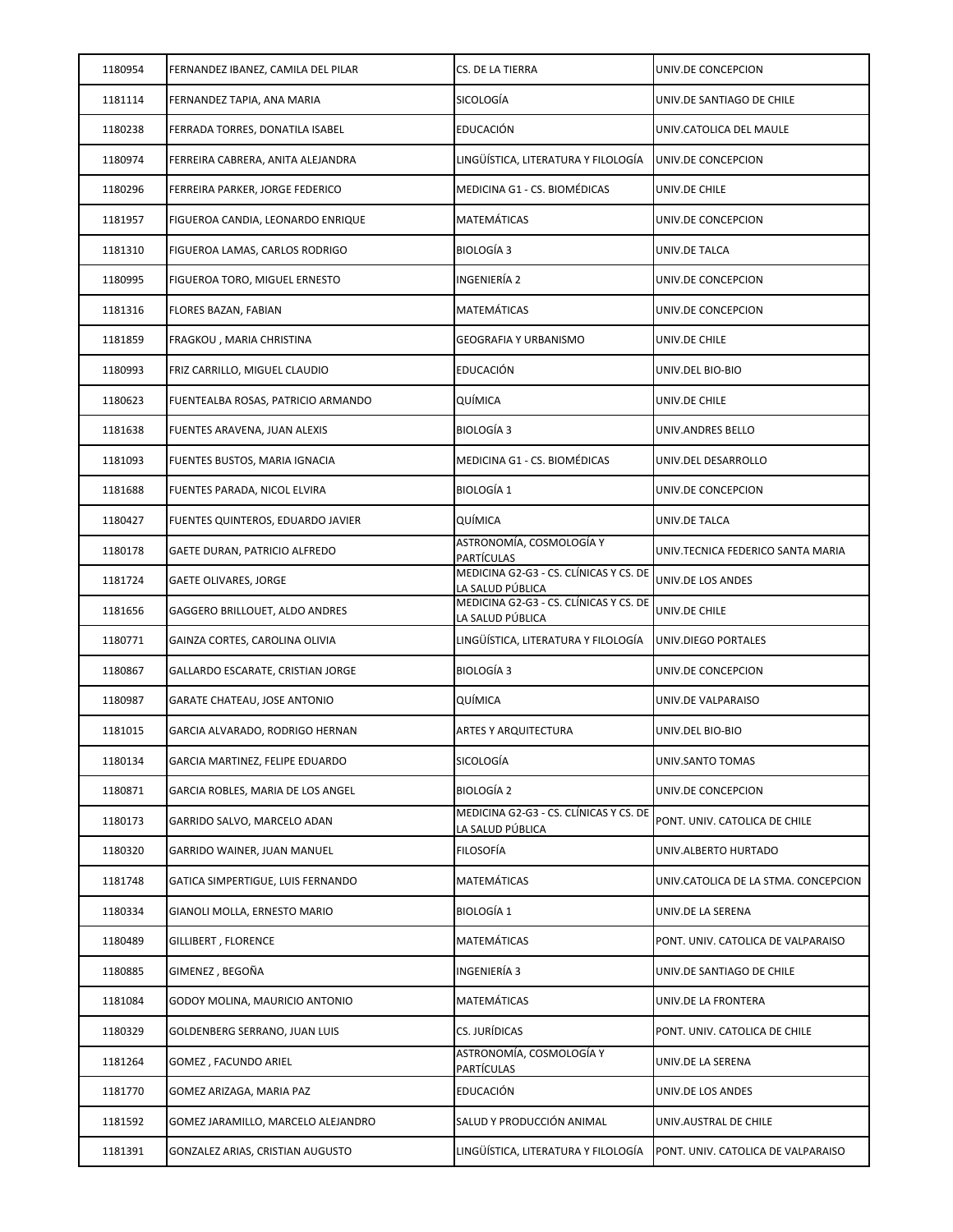| 1180954 | FERNANDEZ IBANEZ, CAMILA DEL PILAR | CS. DE LA TIERRA                                           | UNIV.DE CONCEPCION                   |
|---------|------------------------------------|------------------------------------------------------------|--------------------------------------|
| 1181114 | FERNANDEZ TAPIA, ANA MARIA         | SICOLOGÍA                                                  | UNIV.DE SANTIAGO DE CHILE            |
| 1180238 | FERRADA TORRES, DONATILA ISABEL    | EDUCACIÓN                                                  | UNIV.CATOLICA DEL MAULE              |
| 1180974 | FERREIRA CABRERA, ANITA ALEJANDRA  | LINGÜÍSTICA, LITERATURA Y FILOLOGÍA                        | UNIV.DE CONCEPCION                   |
| 1180296 | FERREIRA PARKER, JORGE FEDERICO    | MEDICINA G1 - CS. BIOMÉDICAS                               | UNIV.DE CHILE                        |
| 1181957 | FIGUEROA CANDIA, LEONARDO ENRIQUE  | MATEMÁTICAS                                                | UNIV.DE CONCEPCION                   |
| 1181310 | FIGUEROA LAMAS, CARLOS RODRIGO     | BIOLOGÍA 3                                                 | UNIV.DE TALCA                        |
| 1180995 | FIGUEROA TORO, MIGUEL ERNESTO      | INGENIERÍA 2                                               | UNIV.DE CONCEPCION                   |
| 1181316 | FLORES BAZAN, FABIAN               | MATEMÁTICAS                                                | UNIV.DE CONCEPCION                   |
| 1181859 | FRAGKOU, MARIA CHRISTINA           | GEOGRAFIA Y URBANISMO                                      | UNIV.DE CHILE                        |
| 1180993 | FRIZ CARRILLO, MIGUEL CLAUDIO      | EDUCACIÓN                                                  | UNIV.DEL BIO-BIO                     |
| 1180623 | FUENTEALBA ROSAS, PATRICIO ARMANDO | QUÍMICA                                                    | UNIV.DE CHILE                        |
| 1181638 | FUENTES ARAVENA, JUAN ALEXIS       | BIOLOGÍA 3                                                 | UNIV.ANDRES BELLO                    |
| 1181093 | FUENTES BUSTOS, MARIA IGNACIA      | MEDICINA G1 - CS. BIOMÉDICAS                               | UNIV.DEL DESARROLLO                  |
| 1181688 | FUENTES PARADA, NICOL ELVIRA       | <b>BIOLOGÍA 1</b>                                          | UNIV.DE CONCEPCION                   |
| 1180427 | FUENTES QUINTEROS, EDUARDO JAVIER  | QUÍMICA                                                    | UNIV.DE TALCA                        |
| 1180178 | GAETE DURAN, PATRICIO ALFREDO      | ASTRONOMÍA, COSMOLOGÍA Y<br><b>PARTÍCULAS</b>              | UNIV.TECNICA FEDERICO SANTA MARIA    |
| 1181724 | GAETE OLIVARES, JORGE              | MEDICINA G2-G3 - CS. CLÍNICAS Y CS. DE<br>LA SALUD PÚBLICA | UNIV.DE LOS ANDES                    |
| 1181656 | GAGGERO BRILLOUET, ALDO ANDRES     | MEDICINA G2-G3 - CS. CLÍNICAS Y CS. DE<br>LA SALUD PÚBLICA | UNIV.DE CHILE                        |
| 1180771 | GAINZA CORTES, CAROLINA OLIVIA     | LINGÜÍSTICA, LITERATURA Y FILOLOGÍA                        | UNIV.DIEGO PORTALES                  |
| 1180867 | GALLARDO ESCARATE, CRISTIAN JORGE  | <b>BIOLOGÍA 3</b>                                          | UNIV.DE CONCEPCION                   |
| 1180987 | GARATE CHATEAU, JOSE ANTONIO       | QUÍMICA                                                    | UNIV.DE VALPARAISO                   |
| 1181015 | GARCIA ALVARADO, RODRIGO HERNAN    | ARTES Y ARQUITECTURA                                       | UNIV.DEL BIO-BIO                     |
| 1180134 | GARCIA MARTINEZ, FELIPE EDUARDO    | SICOLOGÍA                                                  | UNIV.SANTO TOMAS                     |
| 1180871 | GARCIA ROBLES, MARIA DE LOS ANGEL  | <b>BIOLOGÍA 2</b>                                          | UNIV.DE CONCEPCION                   |
| 1180173 | GARRIDO SALVO, MARCELO ADAN        | MEDICINA G2-G3 - CS. CLÍNICAS Y CS. DE<br>LA SALUD PÚBLICA | PONT. UNIV. CATOLICA DE CHILE        |
| 1180320 | GARRIDO WAINER, JUAN MANUEL        | FILOSOFÍA                                                  | UNIV.ALBERTO HURTADO                 |
| 1181748 | GATICA SIMPERTIGUE, LUIS FERNANDO  | MATEMÁTICAS                                                | UNIV.CATOLICA DE LA STMA. CONCEPCION |
| 1180334 | GIANOLI MOLLA, ERNESTO MARIO       | <b>BIOLOGÍA 1</b>                                          | UNIV.DE LA SERENA                    |
| 1180489 | GILLIBERT, FLORENCE                | MATEMÁTICAS                                                | PONT. UNIV. CATOLICA DE VALPARAISO   |
| 1180885 | GIMENEZ, BEGOÑA                    | INGENIERÍA 3                                               | UNIV.DE SANTIAGO DE CHILE            |
| 1181084 | GODOY MOLINA, MAURICIO ANTONIO     | MATEMÁTICAS                                                | UNIV.DE LA FRONTERA                  |
| 1180329 | GOLDENBERG SERRANO, JUAN LUIS      | CS. JURÍDICAS                                              | PONT. UNIV. CATOLICA DE CHILE        |
| 1181264 | GOMEZ, FACUNDO ARIEL               | ASTRONOMÍA, COSMOLOGÍA Y<br>PARTÍCULAS                     | UNIV.DE LA SERENA                    |
| 1181770 | GOMEZ ARIZAGA, MARIA PAZ           | EDUCACIÓN                                                  | UNIV.DE LOS ANDES                    |
| 1181592 | GOMEZ JARAMILLO, MARCELO ALEJANDRO | SALUD Y PRODUCCIÓN ANIMAL                                  | UNIV.AUSTRAL DE CHILE                |
| 1181391 | GONZALEZ ARIAS, CRISTIAN AUGUSTO   | LINGÜÍSTICA, LITERATURA Y FILOLOGÍA                        | PONT. UNIV. CATOLICA DE VALPARAISO   |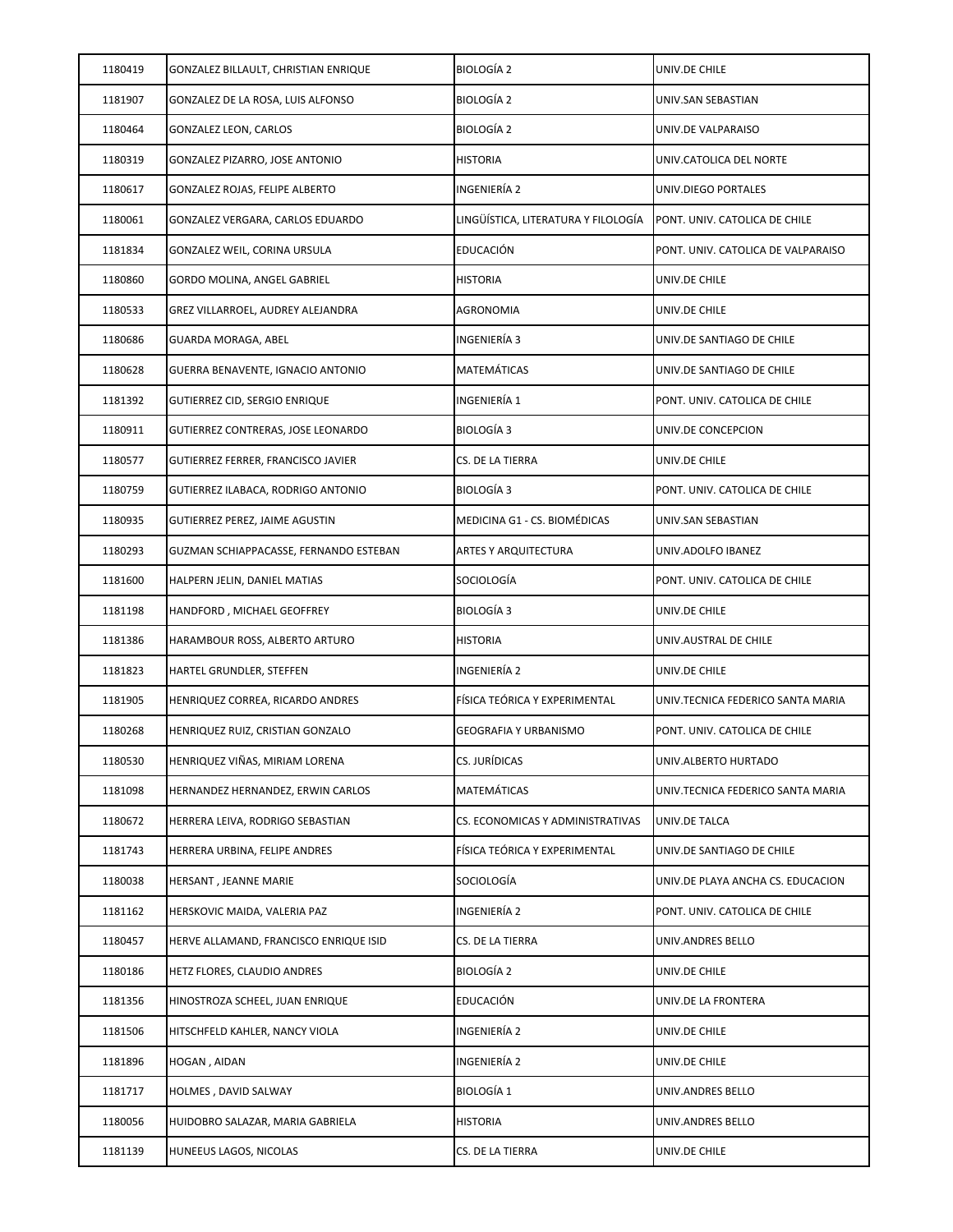| 1180419 | GONZALEZ BILLAULT, CHRISTIAN ENRIQUE   | <b>BIOLOGÍA 2</b>                   | UNIV.DE CHILE                      |
|---------|----------------------------------------|-------------------------------------|------------------------------------|
| 1181907 | GONZALEZ DE LA ROSA, LUIS ALFONSO      | <b>BIOLOGÍA 2</b>                   | UNIV.SAN SEBASTIAN                 |
| 1180464 | GONZALEZ LEON, CARLOS                  | BIOLOGÍA 2                          | UNIV.DE VALPARAISO                 |
| 1180319 | GONZALEZ PIZARRO, JOSE ANTONIO         | <b>HISTORIA</b>                     | UNIV.CATOLICA DEL NORTE            |
| 1180617 | GONZALEZ ROJAS, FELIPE ALBERTO         | INGENIERÍA 2                        | UNIV.DIEGO PORTALES                |
| 1180061 | GONZALEZ VERGARA, CARLOS EDUARDO       | LINGÜÍSTICA, LITERATURA Y FILOLOGÍA | PONT. UNIV. CATOLICA DE CHILE      |
| 1181834 | GONZALEZ WEIL, CORINA URSULA           | EDUCACIÓN                           | PONT. UNIV. CATOLICA DE VALPARAISO |
| 1180860 | GORDO MOLINA, ANGEL GABRIEL            | <b>HISTORIA</b>                     | UNIV.DE CHILE                      |
| 1180533 | GREZ VILLARROEL, AUDREY ALEJANDRA      | AGRONOMIA                           | UNIV.DE CHILE                      |
| 1180686 | GUARDA MORAGA, ABEL                    | INGENIERÍA 3                        | UNIV.DE SANTIAGO DE CHILE          |
| 1180628 | GUERRA BENAVENTE, IGNACIO ANTONIO      | MATEMÁTICAS                         | UNIV.DE SANTIAGO DE CHILE          |
| 1181392 | GUTIERREZ CID, SERGIO ENRIQUE          | INGENIERÍA 1                        | PONT. UNIV. CATOLICA DE CHILE      |
| 1180911 | GUTIERREZ CONTRERAS, JOSE LEONARDO     | BIOLOGÍA 3                          | UNIV.DE CONCEPCION                 |
| 1180577 | GUTIERREZ FERRER, FRANCISCO JAVIER     | CS. DE LA TIERRA                    | UNIV.DE CHILE                      |
| 1180759 | GUTIERREZ ILABACA, RODRIGO ANTONIO     | <b>BIOLOGÍA 3</b>                   | PONT. UNIV. CATOLICA DE CHILE      |
| 1180935 | GUTIERREZ PEREZ, JAIME AGUSTIN         | MEDICINA G1 - CS. BIOMÉDICAS        | UNIV.SAN SEBASTIAN                 |
| 1180293 | GUZMAN SCHIAPPACASSE, FERNANDO ESTEBAN | <b>ARTES Y ARQUITECTURA</b>         | UNIV.ADOLFO IBANEZ                 |
| 1181600 | HALPERN JELIN, DANIEL MATIAS           | SOCIOLOGÍA                          | PONT. UNIV. CATOLICA DE CHILE      |
| 1181198 | HANDFORD, MICHAEL GEOFFREY             | BIOLOGÍA 3                          | UNIV.DE CHILE                      |
| 1181386 | HARAMBOUR ROSS, ALBERTO ARTURO         | <b>HISTORIA</b>                     | UNIV.AUSTRAL DE CHILE              |
| 1181823 | HARTEL GRUNDLER, STEFFEN               | INGENIERÍA 2                        | UNIV.DE CHILE                      |
| 1181905 | HENRIQUEZ CORREA, RICARDO ANDRES       | FÍSICA TEÓRICA Y EXPERIMENTAL       | UNIV.TECNICA FEDERICO SANTA MARIA  |
| 1180268 | HENRIQUEZ RUIZ, CRISTIAN GONZALO       | GEOGRAFIA Y URBANISMO               | PONT. UNIV. CATOLICA DE CHILE      |
| 1180530 | HENRIQUEZ VIÑAS, MIRIAM LORENA         | CS. JURÍDICAS                       | UNIV.ALBERTO HURTADO               |
| 1181098 | HERNANDEZ HERNANDEZ, ERWIN CARLOS      | MATEMÁTICAS                         | UNIV.TECNICA FEDERICO SANTA MARIA  |
| 1180672 | HERRERA LEIVA, RODRIGO SEBASTIAN       | CS. ECONOMICAS Y ADMINISTRATIVAS    | UNIV.DE TALCA                      |
| 1181743 | HERRERA URBINA, FELIPE ANDRES          | FÍSICA TEÓRICA Y EXPERIMENTAL       | UNIV.DE SANTIAGO DE CHILE          |
| 1180038 | HERSANT, JEANNE MARIE                  | SOCIOLOGÍA                          | UNIV.DE PLAYA ANCHA CS. EDUCACION  |
| 1181162 | HERSKOVIC MAIDA, VALERIA PAZ           | INGENIERÍA 2                        | PONT. UNIV. CATOLICA DE CHILE      |
| 1180457 | HERVE ALLAMAND, FRANCISCO ENRIQUE ISID | CS. DE LA TIERRA                    | UNIV.ANDRES BELLO                  |
| 1180186 | HETZ FLORES, CLAUDIO ANDRES            | BIOLOGÍA 2                          | UNIV.DE CHILE                      |
| 1181356 | HINOSTROZA SCHEEL, JUAN ENRIQUE        | EDUCACIÓN                           | UNIV.DE LA FRONTERA                |
| 1181506 | HITSCHFELD KAHLER, NANCY VIOLA         | INGENIERÍA 2                        | UNIV.DE CHILE                      |
| 1181896 | HOGAN, AIDAN                           | INGENIERÍA 2                        | UNIV.DE CHILE                      |
| 1181717 | HOLMES, DAVID SALWAY                   | <b>BIOLOGÍA 1</b>                   | UNIV.ANDRES BELLO                  |
| 1180056 | HUIDOBRO SALAZAR, MARIA GABRIELA       | <b>HISTORIA</b>                     | UNIV.ANDRES BELLO                  |
| 1181139 | HUNEEUS LAGOS, NICOLAS                 | CS. DE LA TIERRA                    | UNIV.DE CHILE                      |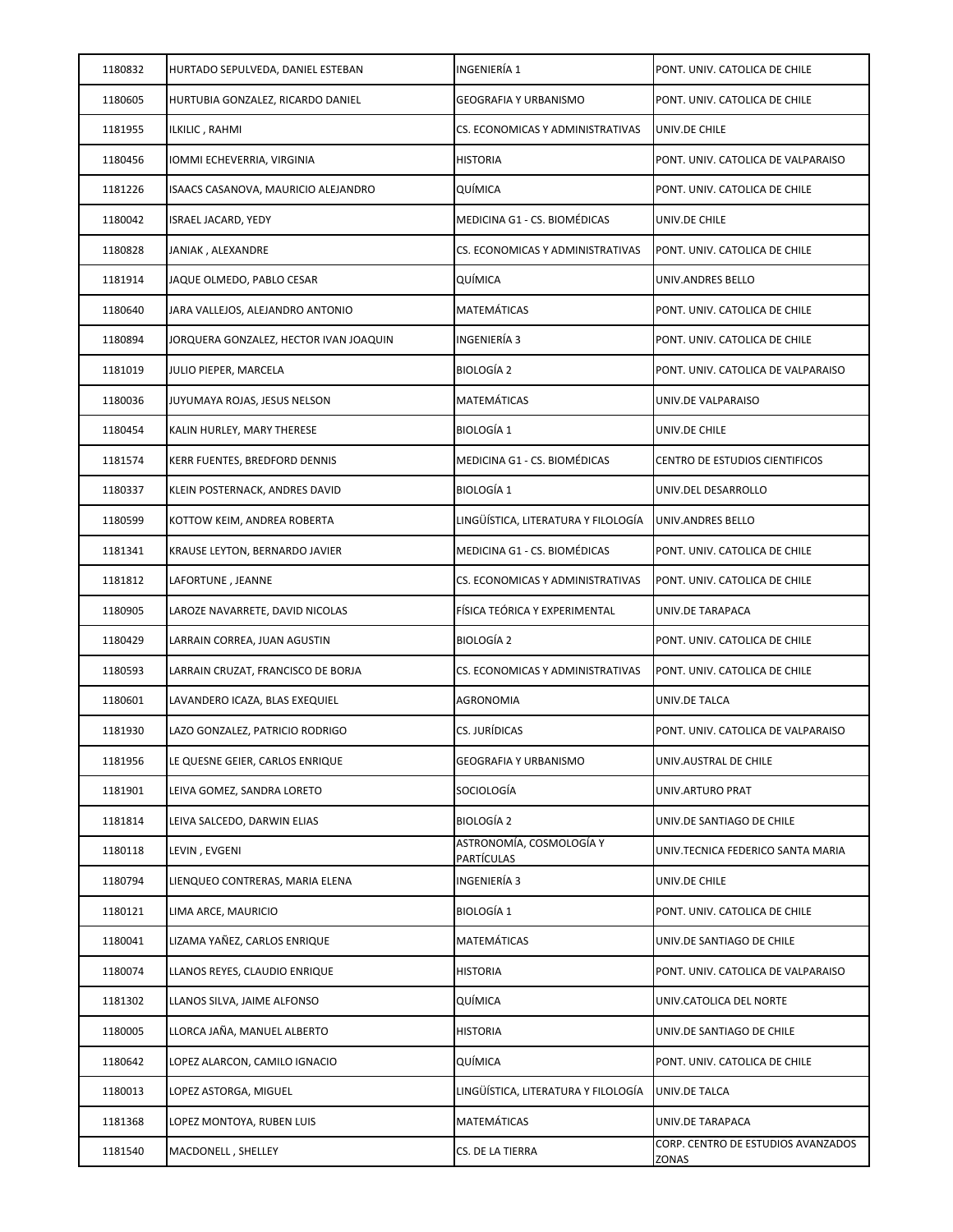| 1180832 | HURTADO SEPULVEDA, DANIEL ESTEBAN      | INGENIERÍA 1                                  | PONT. UNIV. CATOLICA DE CHILE               |
|---------|----------------------------------------|-----------------------------------------------|---------------------------------------------|
| 1180605 | HURTUBIA GONZALEZ, RICARDO DANIEL      | GEOGRAFIA Y URBANISMO                         | PONT. UNIV. CATOLICA DE CHILE               |
| 1181955 | ILKILIC , RAHMI                        | CS. ECONOMICAS Y ADMINISTRATIVAS              | UNIV.DE CHILE                               |
| 1180456 | IOMMI ECHEVERRIA, VIRGINIA             | <b>HISTORIA</b>                               | PONT. UNIV. CATOLICA DE VALPARAISO          |
| 1181226 | ISAACS CASANOVA, MAURICIO ALEJANDRO    | QUÍMICA                                       | PONT. UNIV. CATOLICA DE CHILE               |
| 1180042 | <b>ISRAEL JACARD, YEDY</b>             | MEDICINA G1 - CS. BIOMÉDICAS                  | UNIV.DE CHILE                               |
| 1180828 | JANIAK, ALEXANDRE                      | CS. ECONOMICAS Y ADMINISTRATIVAS              | PONT. UNIV. CATOLICA DE CHILE               |
| 1181914 | JAQUE OLMEDO, PABLO CESAR              | QUÍMICA                                       | UNIV.ANDRES BELLO                           |
| 1180640 | JARA VALLEJOS, ALEJANDRO ANTONIO       | MATEMÁTICAS                                   | PONT. UNIV. CATOLICA DE CHILE               |
| 1180894 | JORQUERA GONZALEZ, HECTOR IVAN JOAQUIN | INGENIERÍA 3                                  | PONT. UNIV. CATOLICA DE CHILE               |
| 1181019 | JULIO PIEPER, MARCELA                  | <b>BIOLOGÍA 2</b>                             | PONT. UNIV. CATOLICA DE VALPARAISO          |
| 1180036 | JUYUMAYA ROJAS, JESUS NELSON           | MATEMÁTICAS                                   | UNIV.DE VALPARAISO                          |
| 1180454 | KALIN HURLEY, MARY THERESE             | <b>BIOLOGÍA 1</b>                             | UNIV.DE CHILE                               |
| 1181574 | KERR FUENTES, BREDFORD DENNIS          | MEDICINA G1 - CS. BIOMÉDICAS                  | CENTRO DE ESTUDIOS CIENTIFICOS              |
| 1180337 | KLEIN POSTERNACK, ANDRES DAVID         | <b>BIOLOGÍA 1</b>                             | UNIV.DEL DESARROLLO                         |
| 1180599 | KOTTOW KEIM, ANDREA ROBERTA            | LINGÜÍSTICA, LITERATURA Y FILOLOGÍA           | UNIV.ANDRES BELLO                           |
| 1181341 | KRAUSE LEYTON, BERNARDO JAVIER         | MEDICINA G1 - CS. BIOMÉDICAS                  | PONT. UNIV. CATOLICA DE CHILE               |
| 1181812 | LAFORTUNE , JEANNE                     | CS. ECONOMICAS Y ADMINISTRATIVAS              | PONT. UNIV. CATOLICA DE CHILE               |
| 1180905 | LAROZE NAVARRETE, DAVID NICOLAS        | FÍSICA TEÓRICA Y EXPERIMENTAL                 | UNIV.DE TARAPACA                            |
| 1180429 | LARRAIN CORREA, JUAN AGUSTIN           | <b>BIOLOGÍA 2</b>                             | PONT. UNIV. CATOLICA DE CHILE               |
| 1180593 | LARRAIN CRUZAT, FRANCISCO DE BORJA     | CS. ECONOMICAS Y ADMINISTRATIVAS              | PONT. UNIV. CATOLICA DE CHILE               |
| 1180601 | LAVANDERO ICAZA, BLAS EXEQUIEL         | AGRONOMIA                                     | UNIV.DE TALCA                               |
| 1181930 | LAZO GONZALEZ, PATRICIO RODRIGO        | CS. JURÍDICAS                                 | PONT. UNIV. CATOLICA DE VALPARAISO          |
| 1181956 | LE QUESNE GEIER, CARLOS ENRIQUE        | <b>GEOGRAFIA Y URBANISMO</b>                  | UNIV.AUSTRAL DE CHILE                       |
| 1181901 | LEIVA GOMEZ, SANDRA LORETO             | SOCIOLOGÍA                                    | UNIV.ARTURO PRAT                            |
| 1181814 | LEIVA SALCEDO, DARWIN ELIAS            | <b>BIOLOGÍA 2</b>                             | UNIV.DE SANTIAGO DE CHILE                   |
| 1180118 | LEVIN, EVGENI                          | ASTRONOMÍA, COSMOLOGÍA Y<br><b>PARTÍCULAS</b> | UNIV.TECNICA FEDERICO SANTA MARIA           |
| 1180794 | LIENQUEO CONTRERAS, MARIA ELENA        | INGENIERÍA 3                                  | UNIV.DE CHILE                               |
| 1180121 | LIMA ARCE, MAURICIO                    | <b>BIOLOGÍA 1</b>                             | PONT. UNIV. CATOLICA DE CHILE               |
| 1180041 | LIZAMA YAÑEZ, CARLOS ENRIQUE           | MATEMÁTICAS                                   | UNIV.DE SANTIAGO DE CHILE                   |
| 1180074 | LLANOS REYES, CLAUDIO ENRIQUE          | <b>HISTORIA</b>                               | PONT. UNIV. CATOLICA DE VALPARAISO          |
| 1181302 | LLANOS SILVA, JAIME ALFONSO            | QUÍMICA                                       | UNIV.CATOLICA DEL NORTE                     |
| 1180005 | LLORCA JAÑA, MANUEL ALBERTO            | <b>HISTORIA</b>                               | UNIV.DE SANTIAGO DE CHILE                   |
| 1180642 | LOPEZ ALARCON, CAMILO IGNACIO          | QUÍMICA                                       | PONT. UNIV. CATOLICA DE CHILE               |
| 1180013 | LOPEZ ASTORGA, MIGUEL                  | LINGÜÍSTICA, LITERATURA Y FILOLOGÍA           | UNIV.DE TALCA                               |
| 1181368 | LOPEZ MONTOYA, RUBEN LUIS              | MATEMÁTICAS                                   | UNIV.DE TARAPACA                            |
| 1181540 | MACDONELL, SHELLEY                     | CS. DE LA TIERRA                              | CORP. CENTRO DE ESTUDIOS AVANZADOS<br>ZONAS |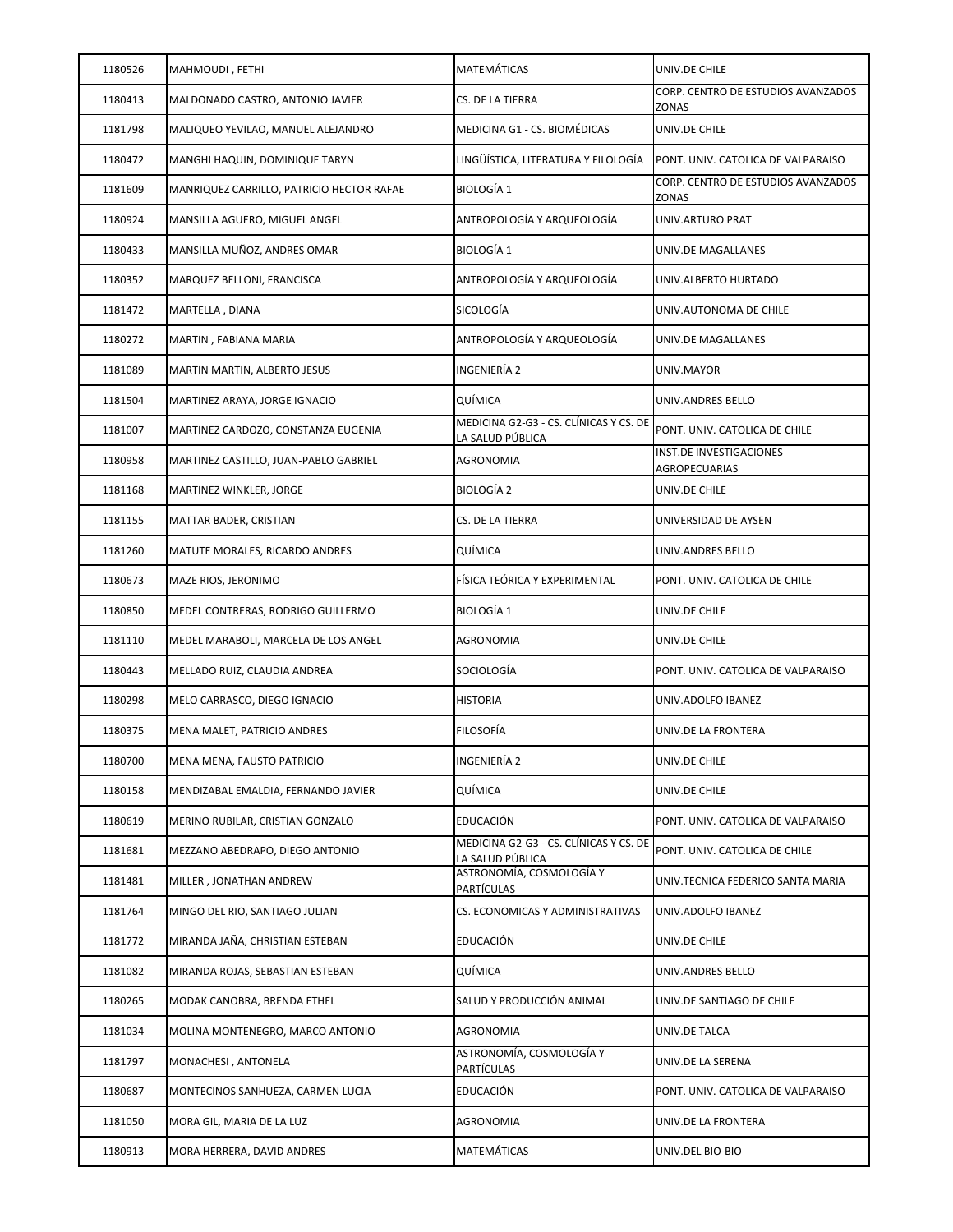| 1180526 | MAHMOUDI, FETHI                           | MATEMÁTICAS                                                | UNIV.DE CHILE                               |
|---------|-------------------------------------------|------------------------------------------------------------|---------------------------------------------|
| 1180413 | MALDONADO CASTRO, ANTONIO JAVIER          | CS. DE LA TIERRA                                           | CORP. CENTRO DE ESTUDIOS AVANZADOS<br>ZONAS |
| 1181798 | MALIQUEO YEVILAO, MANUEL ALEJANDRO        | MEDICINA G1 - CS. BIOMÉDICAS                               | UNIV.DE CHILE                               |
| 1180472 | MANGHI HAQUIN, DOMINIQUE TARYN            | LINGÜÍSTICA, LITERATURA Y FILOLOGÍA                        | PONT. UNIV. CATOLICA DE VALPARAISO          |
| 1181609 | MANRIQUEZ CARRILLO, PATRICIO HECTOR RAFAE | <b>BIOLOGÍA 1</b>                                          | CORP. CENTRO DE ESTUDIOS AVANZADOS<br>ZONAS |
| 1180924 | MANSILLA AGUERO, MIGUEL ANGEL             | ANTROPOLOGÍA Y ARQUEOLOGÍA                                 | UNIV.ARTURO PRAT                            |
| 1180433 | MANSILLA MUÑOZ, ANDRES OMAR               | <b>BIOLOGÍA 1</b>                                          | UNIV.DE MAGALLANES                          |
| 1180352 | MARQUEZ BELLONI, FRANCISCA                | ANTROPOLOGÍA Y ARQUEOLOGÍA                                 | UNIV.ALBERTO HURTADO                        |
| 1181472 | MARTELLA, DIANA                           | SICOLOGÍA                                                  | UNIV.AUTONOMA DE CHILE                      |
| 1180272 | MARTIN, FABIANA MARIA                     | ANTROPOLOGÍA Y ARQUEOLOGÍA                                 | UNIV.DE MAGALLANES                          |
| 1181089 | MARTIN MARTIN, ALBERTO JESUS              | INGENIERÍA 2                                               | UNIV.MAYOR                                  |
| 1181504 | MARTINEZ ARAYA, JORGE IGNACIO             | QUÍMICA                                                    | UNIV.ANDRES BELLO                           |
| 1181007 | MARTINEZ CARDOZO, CONSTANZA EUGENIA       | MEDICINA G2-G3 - CS. CLÍNICAS Y CS. DE<br>LA SALUD PÚBLICA | PONT. UNIV. CATOLICA DE CHILE               |
| 1180958 | MARTINEZ CASTILLO, JUAN-PABLO GABRIEL     | AGRONOMIA                                                  | INST.DE INVESTIGACIONES<br>AGROPECUARIAS    |
| 1181168 | MARTINEZ WINKLER, JORGE                   | <b>BIOLOGÍA 2</b>                                          | UNIV.DE CHILE                               |
| 1181155 | MATTAR BADER, CRISTIAN                    | CS. DE LA TIERRA                                           | UNIVERSIDAD DE AYSEN                        |
| 1181260 | MATUTE MORALES, RICARDO ANDRES            | QUÍMICA                                                    | UNIV.ANDRES BELLO                           |
| 1180673 | MAZE RIOS, JERONIMO                       | FÍSICA TEÓRICA Y EXPERIMENTAL                              | PONT. UNIV. CATOLICA DE CHILE               |
| 1180850 | MEDEL CONTRERAS, RODRIGO GUILLERMO        | <b>BIOLOGÍA 1</b>                                          | UNIV.DE CHILE                               |
| 1181110 | MEDEL MARABOLI, MARCELA DE LOS ANGEL      | <b>AGRONOMIA</b>                                           | UNIV.DE CHILE                               |
| 1180443 | MELLADO RUIZ, CLAUDIA ANDREA              | SOCIOLOGÍA                                                 | PONT. UNIV. CATOLICA DE VALPARAISO          |
| 1180298 | MELO CARRASCO, DIEGO IGNACIO              | <b>HISTORIA</b>                                            | UNIV.ADOLFO IBANEZ                          |
| 1180375 | MENA MALET, PATRICIO ANDRES               | <b>FILOSOFÍA</b>                                           | UNIV.DE LA FRONTERA                         |
| 1180700 | MENA MENA, FAUSTO PATRICIO                | INGENIERÍA 2                                               | UNIV.DE CHILE                               |
| 1180158 | MENDIZABAL EMALDIA, FERNANDO JAVIER       | QUÍMICA                                                    | UNIV.DE CHILE                               |
| 1180619 | MERINO RUBILAR, CRISTIAN GONZALO          | EDUCACIÓN                                                  | PONT. UNIV. CATOLICA DE VALPARAISO          |
| 1181681 | MEZZANO ABEDRAPO, DIEGO ANTONIO           | MEDICINA G2-G3 - CS. CLÍNICAS Y CS. DE<br>LA SALUD PÚBLICA | PONT. UNIV. CATOLICA DE CHILE               |
| 1181481 | MILLER, JONATHAN ANDREW                   | ASTRONOMÍA, COSMOLOGÍA Y<br>PARTÍCULAS                     | UNIV.TECNICA FEDERICO SANTA MARIA           |
| 1181764 | MINGO DEL RIO, SANTIAGO JULIAN            | CS. ECONOMICAS Y ADMINISTRATIVAS                           | UNIV.ADOLFO IBANEZ                          |
| 1181772 | MIRANDA JAÑA, CHRISTIAN ESTEBAN           | <b>EDUCACIÓN</b>                                           | UNIV.DE CHILE                               |
| 1181082 | MIRANDA ROJAS, SEBASTIAN ESTEBAN          | QUÍMICA                                                    | UNIV.ANDRES BELLO                           |
| 1180265 | MODAK CANOBRA, BRENDA ETHEL               | SALUD Y PRODUCCIÓN ANIMAL                                  | UNIV.DE SANTIAGO DE CHILE                   |
| 1181034 | MOLINA MONTENEGRO, MARCO ANTONIO          | AGRONOMIA                                                  | UNIV.DE TALCA                               |
| 1181797 | MONACHESI, ANTONELA                       | ASTRONOMÍA, COSMOLOGÍA Y<br>PARTÍCULAS                     | UNIV.DE LA SERENA                           |
| 1180687 | MONTECINOS SANHUEZA, CARMEN LUCIA         | EDUCACIÓN                                                  | PONT. UNIV. CATOLICA DE VALPARAISO          |
| 1181050 | MORA GIL, MARIA DE LA LUZ                 | AGRONOMIA                                                  | UNIV.DE LA FRONTERA                         |
| 1180913 | MORA HERRERA, DAVID ANDRES                | MATEMÁTICAS                                                | UNIV.DEL BIO-BIO                            |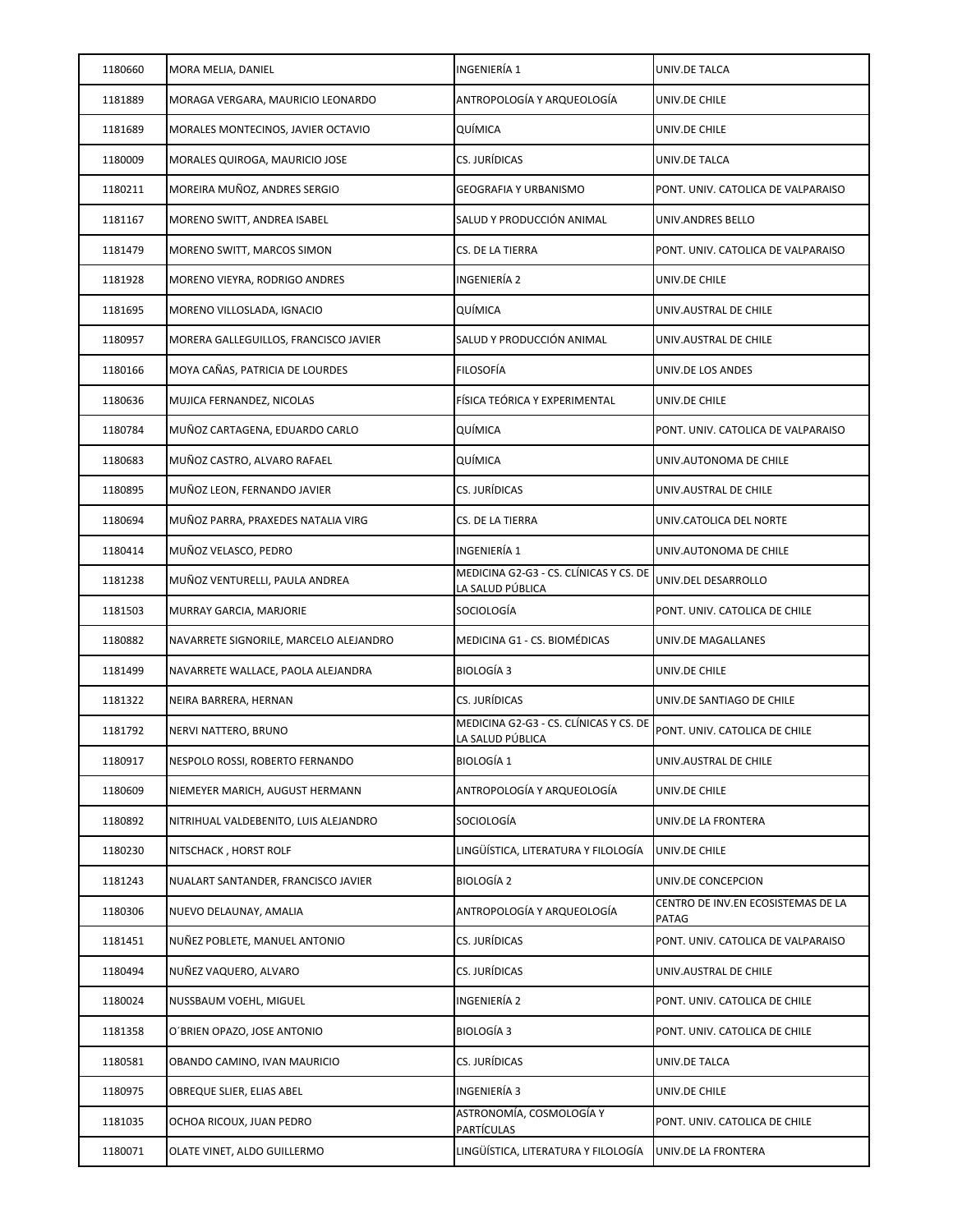| 1180660 | MORA MELIA, DANIEL                     | INGENIERÍA 1                                               | UNIV.DE TALCA                               |
|---------|----------------------------------------|------------------------------------------------------------|---------------------------------------------|
| 1181889 | MORAGA VERGARA, MAURICIO LEONARDO      | ANTROPOLOGÍA Y ARQUEOLOGÍA                                 | UNIV.DE CHILE                               |
| 1181689 | MORALES MONTECINOS, JAVIER OCTAVIO     | QUÍMICA                                                    | UNIV.DE CHILE                               |
| 1180009 | MORALES QUIROGA, MAURICIO JOSE         | CS. JURÍDICAS                                              | UNIV.DE TALCA                               |
| 1180211 | MOREIRA MUÑOZ, ANDRES SERGIO           | <b>GEOGRAFIA Y URBANISMO</b>                               | PONT. UNIV. CATOLICA DE VALPARAISO          |
| 1181167 | MORENO SWITT, ANDREA ISABEL            | SALUD Y PRODUCCIÓN ANIMAL                                  | UNIV.ANDRES BELLO                           |
| 1181479 | MORENO SWITT, MARCOS SIMON             | CS. DE LA TIERRA                                           | PONT. UNIV. CATOLICA DE VALPARAISO          |
| 1181928 | MORENO VIEYRA, RODRIGO ANDRES          | INGENIERÍA 2                                               | UNIV.DE CHILE                               |
| 1181695 | MORENO VILLOSLADA, IGNACIO             | QUÍMICA                                                    | UNIV.AUSTRAL DE CHILE                       |
| 1180957 | MORERA GALLEGUILLOS, FRANCISCO JAVIER  | SALUD Y PRODUCCIÓN ANIMAL                                  | UNIV.AUSTRAL DE CHILE                       |
| 1180166 | MOYA CAÑAS, PATRICIA DE LOURDES        | <b>FILOSOFÍA</b>                                           | UNIV.DE LOS ANDES                           |
| 1180636 | MUJICA FERNANDEZ, NICOLAS              | FÍSICA TEÓRICA Y EXPERIMENTAL                              | UNIV.DE CHILE                               |
| 1180784 | MUÑOZ CARTAGENA, EDUARDO CARLO         | QUÍMICA                                                    | PONT. UNIV. CATOLICA DE VALPARAISO          |
| 1180683 | MUÑOZ CASTRO, ALVARO RAFAEL            | QUÍMICA                                                    | UNIV.AUTONOMA DE CHILE                      |
| 1180895 | MUÑOZ LEON, FERNANDO JAVIER            | CS. JURÍDICAS                                              | UNIV.AUSTRAL DE CHILE                       |
| 1180694 | MUÑOZ PARRA, PRAXEDES NATALIA VIRG     | CS. DE LA TIERRA                                           | UNIV.CATOLICA DEL NORTE                     |
| 1180414 | MUÑOZ VELASCO, PEDRO                   | INGENIERÍA 1                                               | UNIV.AUTONOMA DE CHILE                      |
| 1181238 | MUÑOZ VENTURELLI, PAULA ANDREA         | MEDICINA G2-G3 - CS. CLÍNICAS Y CS. DE<br>LA SALUD PÚBLICA | UNIV.DEL DESARROLLO                         |
| 1181503 | MURRAY GARCIA, MARJORIE                | SOCIOLOGÍA                                                 | PONT. UNIV. CATOLICA DE CHILE               |
| 1180882 | NAVARRETE SIGNORILE, MARCELO ALEJANDRO | MEDICINA G1 - CS. BIOMÉDICAS                               | UNIV.DE MAGALLANES                          |
| 1181499 | NAVARRETE WALLACE, PAOLA ALEJANDRA     | BIOLOGÍA 3                                                 | UNIV.DE CHILE                               |
| 1181322 | NEIRA BARRERA, HERNAN                  | CS. JURÍDICAS                                              | UNIV.DE SANTIAGO DE CHILE                   |
| 1181792 | NERVI NATTERO, BRUNO                   | MEDICINA G2-G3 - CS. CLÍNICAS Y CS. DE<br>LA SALUD PÚBLICA | PONT. UNIV. CATOLICA DE CHILE               |
| 1180917 | NESPOLO ROSSI, ROBERTO FERNANDO        | <b>BIOLOGÍA 1</b>                                          | UNIV.AUSTRAL DE CHILE                       |
| 1180609 | NIEMEYER MARICH, AUGUST HERMANN        | ANTROPOLOGÍA Y ARQUEOLOGÍA                                 | UNIV.DE CHILE                               |
| 1180892 | NITRIHUAL VALDEBENITO, LUIS ALEJANDRO  | SOCIOLOGÍA                                                 | UNIV.DE LA FRONTERA                         |
| 1180230 | NITSCHACK, HORST ROLF                  | LINGÜÍSTICA. LITERATURA Y FILOLOGÍA                        | UNIV.DE CHILE                               |
| 1181243 | NUALART SANTANDER, FRANCISCO JAVIER    | <b>BIOLOGÍA 2</b>                                          | UNIV.DE CONCEPCION                          |
| 1180306 | NUEVO DELAUNAY, AMALIA                 | ANTROPOLOGÍA Y ARQUEOLOGÍA                                 | CENTRO DE INV.EN ECOSISTEMAS DE LA<br>PATAG |
| 1181451 | NUÑEZ POBLETE, MANUEL ANTONIO          | CS. JURÍDICAS                                              | PONT. UNIV. CATOLICA DE VALPARAISO          |
| 1180494 | NUÑEZ VAQUERO, ALVARO                  | CS. JURÍDICAS                                              | UNIV.AUSTRAL DE CHILE                       |
| 1180024 | NUSSBAUM VOEHL, MIGUEL                 | INGENIERÍA 2                                               | PONT. UNIV. CATOLICA DE CHILE               |
| 1181358 | O'BRIEN OPAZO, JOSE ANTONIO            | <b>BIOLOGÍA 3</b>                                          | PONT. UNIV. CATOLICA DE CHILE               |
| 1180581 | OBANDO CAMINO, IVAN MAURICIO           | CS. JURÍDICAS                                              | UNIV.DE TALCA                               |
| 1180975 | OBREQUE SLIER, ELIAS ABEL              | INGENIERÍA 3                                               | UNIV.DE CHILE                               |
| 1181035 | OCHOA RICOUX, JUAN PEDRO               | ASTRONOMÍA, COSMOLOGÍA Y<br>PARTÍCULAS                     | PONT. UNIV. CATOLICA DE CHILE               |
| 1180071 | OLATE VINET, ALDO GUILLERMO            | LINGÜÍSTICA, LITERATURA Y FILOLOGÍA                        | UNIV.DE LA FRONTERA                         |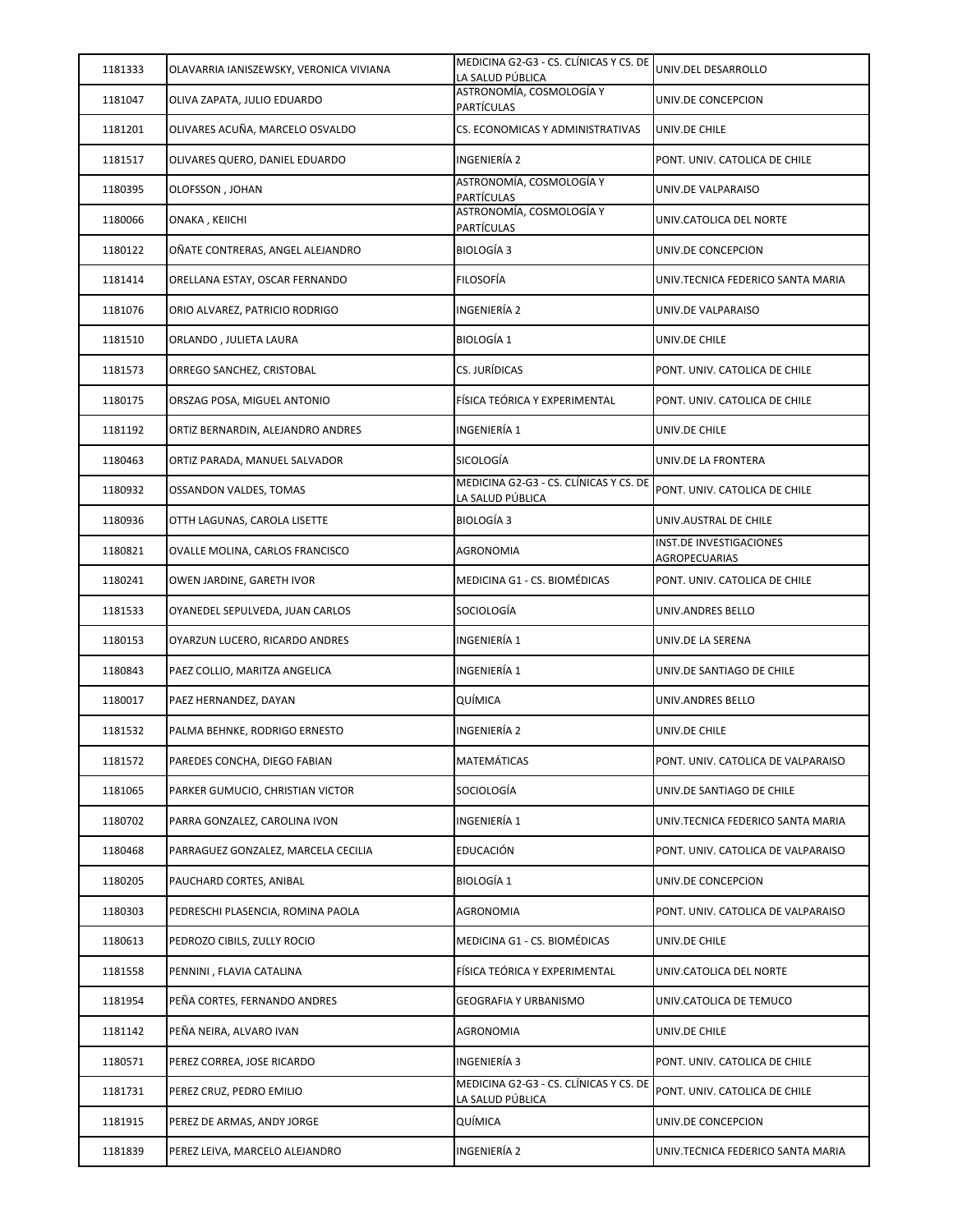| 1181333 | OLAVARRIA IANISZEWSKY, VERONICA VIVIANA | MEDICINA G2-G3 - CS. CLÍNICAS Y CS. DE<br>LA SALUD PÚBLICA | UNIV.DEL DESARROLLO                      |
|---------|-----------------------------------------|------------------------------------------------------------|------------------------------------------|
| 1181047 | OLIVA ZAPATA, JULIO EDUARDO             | ASTRONOMÍA, COSMOLOGÍA Y<br><b>PARTÍCULAS</b>              | UNIV.DE CONCEPCION                       |
| 1181201 | OLIVARES ACUÑA, MARCELO OSVALDO         | CS. ECONOMICAS Y ADMINISTRATIVAS                           | UNIV.DE CHILE                            |
| 1181517 | OLIVARES QUERO, DANIEL EDUARDO          | INGENIERÍA 2                                               | PONT. UNIV. CATOLICA DE CHILE            |
| 1180395 | OLOFSSON, JOHAN                         | ASTRONOMÍA, COSMOLOGÍA Y<br>PARTÍCULAS                     | UNIV.DE VALPARAISO                       |
| 1180066 | ONAKA, KEIICHI                          | ASTRONOMÍA, COSMOLOGÍA Y<br><b>PARTÍCULAS</b>              | UNIV.CATOLICA DEL NORTE                  |
| 1180122 | OÑATE CONTRERAS, ANGEL ALEJANDRO        | <b>BIOLOGÍA 3</b>                                          | UNIV.DE CONCEPCION                       |
| 1181414 | ORELLANA ESTAY, OSCAR FERNANDO          | <b>FILOSOFÍA</b>                                           | UNIV.TECNICA FEDERICO SANTA MARIA        |
| 1181076 | ORIO ALVAREZ, PATRICIO RODRIGO          | INGENIERÍA 2                                               | UNIV.DE VALPARAISO                       |
| 1181510 | ORLANDO, JULIETA LAURA                  | <b>BIOLOGÍA 1</b>                                          | UNIV.DE CHILE                            |
| 1181573 | ORREGO SANCHEZ, CRISTOBAL               | CS. JURÍDICAS                                              | PONT. UNIV. CATOLICA DE CHILE            |
| 1180175 | ORSZAG POSA, MIGUEL ANTONIO             | FÍSICA TEÓRICA Y EXPERIMENTAL                              | PONT. UNIV. CATOLICA DE CHILE            |
| 1181192 | ORTIZ BERNARDIN, ALEJANDRO ANDRES       | INGENIERÍA 1                                               | UNIV.DE CHILE                            |
| 1180463 | ORTIZ PARADA, MANUEL SALVADOR           | SICOLOGÍA                                                  | UNIV.DE LA FRONTERA                      |
| 1180932 | <b>OSSANDON VALDES, TOMAS</b>           | MEDICINA G2-G3 - CS. CLÍNICAS Y CS. DE<br>LA SALUD PÚBLICA | PONT. UNIV. CATOLICA DE CHILE            |
| 1180936 | OTTH LAGUNAS, CAROLA LISETTE            | <b>BIOLOGÍA 3</b>                                          | UNIV.AUSTRAL DE CHILE                    |
| 1180821 | OVALLE MOLINA, CARLOS FRANCISCO         | AGRONOMIA                                                  | INST.DE INVESTIGACIONES<br>AGROPECUARIAS |
| 1180241 | OWEN JARDINE, GARETH IVOR               | MEDICINA G1 - CS. BIOMÉDICAS                               | PONT. UNIV. CATOLICA DE CHILE            |
| 1181533 | OYANEDEL SEPULVEDA, JUAN CARLOS         | SOCIOLOGÍA                                                 | UNIV.ANDRES BELLO                        |
| 1180153 | OYARZUN LUCERO, RICARDO ANDRES          | INGENIERÍA 1                                               | UNIV.DE LA SERENA                        |
| 1180843 | PAEZ COLLIO, MARITZA ANGELICA           | INGENIERÍA 1                                               | UNIV.DE SANTIAGO DE CHILE                |
| 1180017 | PAEZ HERNANDEZ, DAYAN                   | QUÍMICA                                                    | UNIV.ANDRES BELLO                        |
| 1181532 | PALMA BEHNKE, RODRIGO ERNESTO           | INGENIERÍA 2                                               | UNIV.DE CHILE                            |
| 1181572 | PAREDES CONCHA, DIEGO FABIAN            | MATEMÁTICAS                                                | PONT. UNIV. CATOLICA DE VALPARAISO       |
| 1181065 | PARKER GUMUCIO, CHRISTIAN VICTOR        | SOCIOLOGÍA                                                 | UNIV.DE SANTIAGO DE CHILE                |
| 1180702 | PARRA GONZALEZ, CAROLINA IVON           | INGENIERÍA 1                                               | UNIV.TECNICA FEDERICO SANTA MARIA        |
| 1180468 | PARRAGUEZ GONZALEZ, MARCELA CECILIA     | EDUCACIÓN                                                  | PONT. UNIV. CATOLICA DE VALPARAISO       |
| 1180205 | PAUCHARD CORTES, ANIBAL                 | <b>BIOLOGÍA 1</b>                                          | UNIV.DE CONCEPCION                       |
| 1180303 | PEDRESCHI PLASENCIA, ROMINA PAOLA       | AGRONOMIA                                                  | PONT. UNIV. CATOLICA DE VALPARAISO       |
| 1180613 | PEDROZO CIBILS, ZULLY ROCIO             | MEDICINA G1 - CS. BIOMÉDICAS                               | UNIV.DE CHILE                            |
| 1181558 | PENNINI, FLAVIA CATALINA                | FÍSICA TEÓRICA Y EXPERIMENTAL                              | UNIV.CATOLICA DEL NORTE                  |
| 1181954 | PEÑA CORTES, FERNANDO ANDRES            | GEOGRAFIA Y URBANISMO                                      | UNIV.CATOLICA DE TEMUCO                  |
| 1181142 | PEÑA NEIRA, ALVARO IVAN                 | AGRONOMIA                                                  | UNIV.DE CHILE                            |
| 1180571 | PEREZ CORREA, JOSE RICARDO              | INGENIERÍA 3                                               | PONT. UNIV. CATOLICA DE CHILE            |
| 1181731 | PEREZ CRUZ, PEDRO EMILIO                | MEDICINA G2-G3 - CS. CLÍNICAS Y CS. DE<br>LA SALUD PÚBLICA | PONT. UNIV. CATOLICA DE CHILE            |
| 1181915 | PEREZ DE ARMAS, ANDY JORGE              | QUÍMICA                                                    | UNIV.DE CONCEPCION                       |
| 1181839 | PEREZ LEIVA, MARCELO ALEJANDRO          | INGENIERÍA 2                                               | UNIV.TECNICA FEDERICO SANTA MARIA        |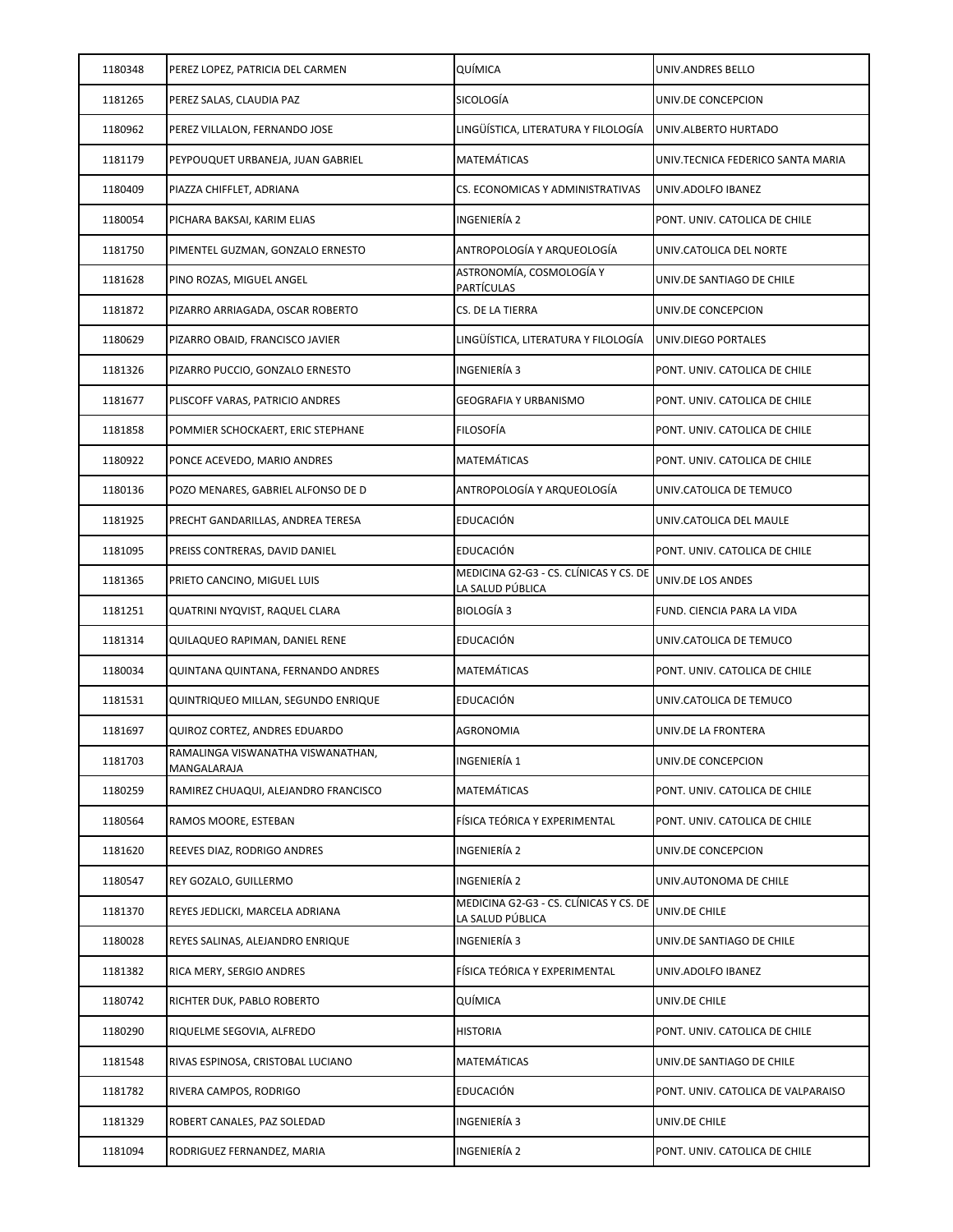| 1180348 | PEREZ LOPEZ, PATRICIA DEL CARMEN                | QUÍMICA                                                    | UNIV.ANDRES BELLO                  |
|---------|-------------------------------------------------|------------------------------------------------------------|------------------------------------|
| 1181265 | PEREZ SALAS, CLAUDIA PAZ                        | SICOLOGÍA                                                  | UNIV.DE CONCEPCION                 |
| 1180962 | PEREZ VILLALON, FERNANDO JOSE                   | LINGÜÍSTICA, LITERATURA Y FILOLOGÍA                        | UNIV.ALBERTO HURTADO               |
| 1181179 | PEYPOUQUET URBANEJA, JUAN GABRIEL               | MATEMÁTICAS                                                | UNIV.TECNICA FEDERICO SANTA MARIA  |
| 1180409 | PIAZZA CHIFFLET, ADRIANA                        | CS. ECONOMICAS Y ADMINISTRATIVAS                           | UNIV.ADOLFO IBANEZ                 |
| 1180054 | PICHARA BAKSAI, KARIM ELIAS                     | INGENIERÍA 2                                               | PONT. UNIV. CATOLICA DE CHILE      |
| 1181750 | PIMENTEL GUZMAN, GONZALO ERNESTO                | ANTROPOLOGÍA Y ARQUEOLOGÍA                                 | UNIV.CATOLICA DEL NORTE            |
| 1181628 | PINO ROZAS, MIGUEL ANGEL                        | ASTRONOMÍA, COSMOLOGÍA Y<br><b>PARTÍCULAS</b>              | UNIV.DE SANTIAGO DE CHILE          |
| 1181872 | PIZARRO ARRIAGADA, OSCAR ROBERTO                | CS. DE LA TIERRA                                           | UNIV.DE CONCEPCION                 |
| 1180629 | PIZARRO OBAID, FRANCISCO JAVIER                 | LINGÜÍSTICA, LITERATURA Y FILOLOGÍA                        | UNIV.DIEGO PORTALES                |
| 1181326 | PIZARRO PUCCIO, GONZALO ERNESTO                 | INGENIERÍA 3                                               | PONT. UNIV. CATOLICA DE CHILE      |
| 1181677 | PLISCOFF VARAS, PATRICIO ANDRES                 | GEOGRAFIA Y URBANISMO                                      | PONT. UNIV. CATOLICA DE CHILE      |
| 1181858 | POMMIER SCHOCKAERT, ERIC STEPHANE               | FILOSOFÍA                                                  | PONT. UNIV. CATOLICA DE CHILE      |
| 1180922 | PONCE ACEVEDO, MARIO ANDRES                     | MATEMÁTICAS                                                | PONT. UNIV. CATOLICA DE CHILE      |
| 1180136 | POZO MENARES, GABRIEL ALFONSO DE D              | ANTROPOLOGÍA Y ARQUEOLOGÍA                                 | UNIV.CATOLICA DE TEMUCO            |
| 1181925 | PRECHT GANDARILLAS, ANDREA TERESA               | EDUCACIÓN                                                  | UNIV.CATOLICA DEL MAULE            |
| 1181095 | PREISS CONTRERAS, DAVID DANIEL                  | EDUCACIÓN                                                  | PONT. UNIV. CATOLICA DE CHILE      |
| 1181365 | PRIETO CANCINO, MIGUEL LUIS                     | MEDICINA G2-G3 - CS. CLÍNICAS Y CS. DE<br>LA SALUD PÚBLICA | UNIV.DE LOS ANDES                  |
| 1181251 | QUATRINI NYQVIST, RAQUEL CLARA                  | BIOLOGÍA 3                                                 | FUND. CIENCIA PARA LA VIDA         |
| 1181314 | QUILAQUEO RAPIMAN, DANIEL RENE                  | EDUCACIÓN                                                  | UNIV.CATOLICA DE TEMUCO            |
| 1180034 | QUINTANA QUINTANA, FERNANDO ANDRES              | MATEMÁTICAS                                                | PONT. UNIV. CATOLICA DE CHILE      |
| 1181531 | QUINTRIQUEO MILLAN, SEGUNDO ENRIQUE             | EDUCACIÓN                                                  | UNIV.CATOLICA DE TEMUCO            |
| 1181697 | QUIROZ CORTEZ, ANDRES EDUARDO                   | AGRONOMIA                                                  | UNIV.DE LA FRONTERA                |
| 1181703 | RAMALINGA VISWANATHA VISWANATHAN<br>MANGALARAJA | INGENIERÍA 1                                               | UNIV.DE CONCEPCION                 |
| 1180259 | RAMIREZ CHUAQUI, ALEJANDRO FRANCISCO            | MATEMÁTICAS                                                | PONT. UNIV. CATOLICA DE CHILE      |
| 1180564 | RAMOS MOORE, ESTEBAN                            | FÍSICA TEÓRICA Y EXPERIMENTAL                              | PONT. UNIV. CATOLICA DE CHILE      |
| 1181620 | REEVES DIAZ, RODRIGO ANDRES                     | INGENIERÍA 2                                               | UNIV.DE CONCEPCION                 |
| 1180547 | REY GOZALO, GUILLERMO                           | INGENIERÍA 2                                               | UNIV.AUTONOMA DE CHILE             |
| 1181370 | REYES JEDLICKI, MARCELA ADRIANA                 | MEDICINA G2-G3 - CS. CLÍNICAS Y CS. DE<br>LA SALUD PÚBLICA | UNIV.DE CHILE                      |
| 1180028 | REYES SALINAS, ALEJANDRO ENRIQUE                | INGENIERÍA 3                                               | UNIV.DE SANTIAGO DE CHILE          |
| 1181382 | RICA MERY, SERGIO ANDRES                        | FÍSICA TEÓRICA Y EXPERIMENTAL                              | UNIV.ADOLFO IBANEZ                 |
| 1180742 | RICHTER DUK, PABLO ROBERTO                      | QUÍMICA                                                    | UNIV.DE CHILE                      |
| 1180290 | RIQUELME SEGOVIA, ALFREDO                       | <b>HISTORIA</b>                                            | PONT. UNIV. CATOLICA DE CHILE      |
| 1181548 | RIVAS ESPINOSA, CRISTOBAL LUCIANO               | MATEMÁTICAS                                                | UNIV.DE SANTIAGO DE CHILE          |
| 1181782 | RIVERA CAMPOS, RODRIGO                          | EDUCACIÓN                                                  | PONT. UNIV. CATOLICA DE VALPARAISO |
| 1181329 | ROBERT CANALES, PAZ SOLEDAD                     | INGENIERÍA 3                                               | UNIV.DE CHILE                      |
| 1181094 | RODRIGUEZ FERNANDEZ, MARIA                      | INGENIERÍA 2                                               | PONT. UNIV. CATOLICA DE CHILE      |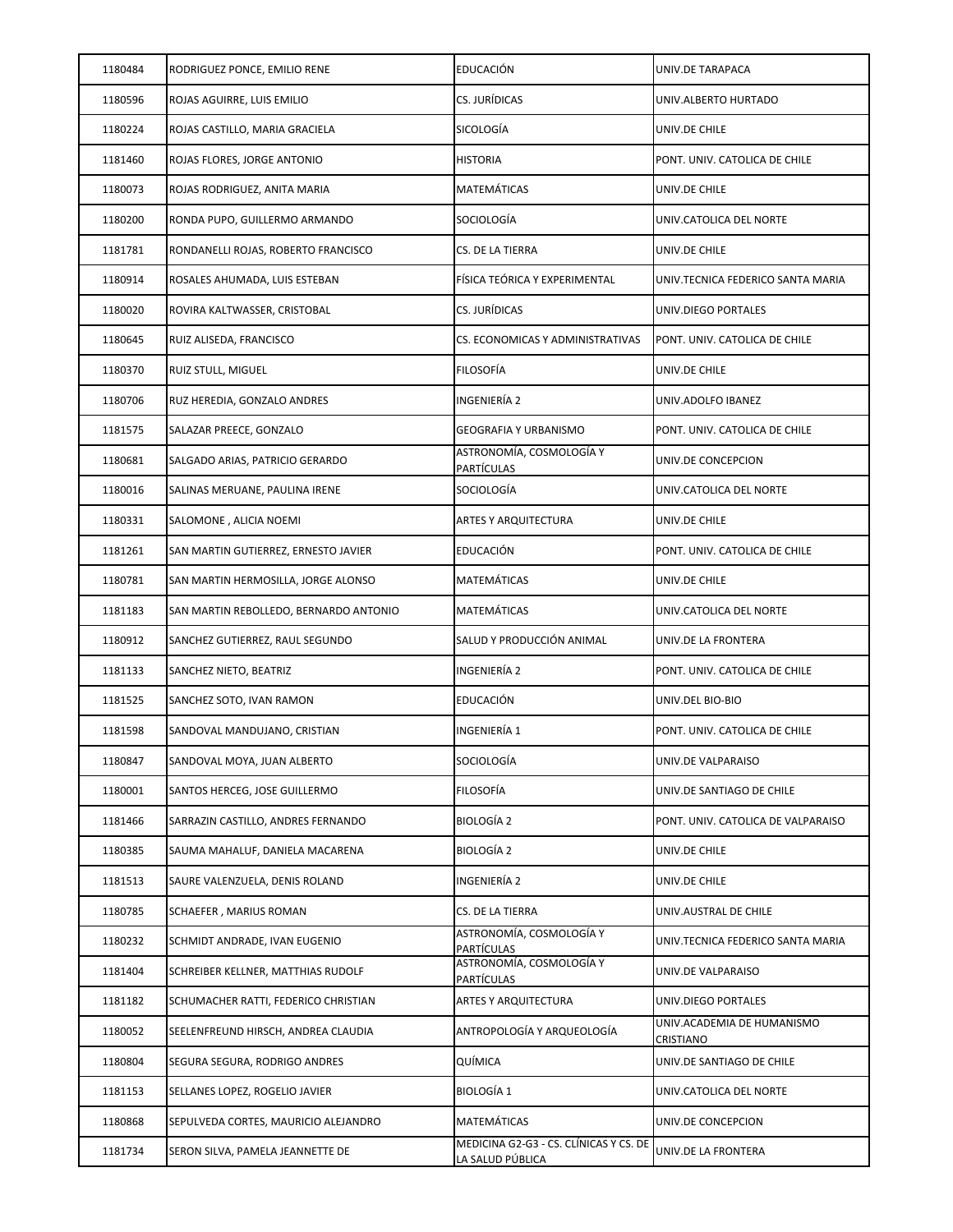| 1180484 | RODRIGUEZ PONCE, EMILIO RENE           | <b>EDUCACIÓN</b>                                           | UNIV.DE TARAPACA                        |
|---------|----------------------------------------|------------------------------------------------------------|-----------------------------------------|
| 1180596 | ROJAS AGUIRRE, LUIS EMILIO             | CS. JURÍDICAS                                              | UNIV.ALBERTO HURTADO                    |
| 1180224 | ROJAS CASTILLO, MARIA GRACIELA         | SICOLOGÍA                                                  | UNIV.DE CHILE                           |
| 1181460 | ROJAS FLORES, JORGE ANTONIO            | <b>HISTORIA</b>                                            | PONT. UNIV. CATOLICA DE CHILE           |
| 1180073 | ROJAS RODRIGUEZ, ANITA MARIA           | <b>MATEMÁTICAS</b>                                         | UNIV.DE CHILE                           |
| 1180200 | RONDA PUPO, GUILLERMO ARMANDO          | SOCIOLOGÍA                                                 | UNIV.CATOLICA DEL NORTE                 |
| 1181781 | RONDANELLI ROJAS, ROBERTO FRANCISCO    | CS. DE LA TIERRA                                           | UNIV.DE CHILE                           |
| 1180914 | ROSALES AHUMADA, LUIS ESTEBAN          | FÍSICA TEÓRICA Y EXPERIMENTAL                              | UNIV.TECNICA FEDERICO SANTA MARIA       |
| 1180020 | ROVIRA KALTWASSER, CRISTOBAL           | CS. JURÍDICAS                                              | UNIV.DIEGO PORTALES                     |
| 1180645 | RUIZ ALISEDA, FRANCISCO                | CS. ECONOMICAS Y ADMINISTRATIVAS                           | PONT. UNIV. CATOLICA DE CHILE           |
| 1180370 | RUIZ STULL, MIGUEL                     | <b>FILOSOFÍA</b>                                           | UNIV.DE CHILE                           |
| 1180706 | RUZ HEREDIA, GONZALO ANDRES            | INGENIERÍA 2                                               | UNIV.ADOLFO IBANEZ                      |
| 1181575 | SALAZAR PREECE, GONZALO                | GEOGRAFIA Y URBANISMO                                      | PONT. UNIV. CATOLICA DE CHILE           |
| 1180681 | SALGADO ARIAS, PATRICIO GERARDO        | ASTRONOMÍA, COSMOLOGÍA Y<br><b>PARTÍCULAS</b>              | UNIV.DE CONCEPCION                      |
| 1180016 | SALINAS MERUANE, PAULINA IRENE         | SOCIOLOGÍA                                                 | UNIV.CATOLICA DEL NORTE                 |
| 1180331 | SALOMONE, ALICIA NOEMI                 | ARTES Y ARQUITECTURA                                       | UNIV.DE CHILE                           |
| 1181261 | SAN MARTIN GUTIERREZ, ERNESTO JAVIER   | EDUCACIÓN                                                  | PONT. UNIV. CATOLICA DE CHILE           |
| 1180781 | SAN MARTIN HERMOSILLA, JORGE ALONSO    | MATEMÁTICAS                                                | UNIV.DE CHILE                           |
| 1181183 | SAN MARTIN REBOLLEDO, BERNARDO ANTONIO | MATEMÁTICAS                                                | UNIV.CATOLICA DEL NORTE                 |
| 1180912 | SANCHEZ GUTIERREZ, RAUL SEGUNDO        | SALUD Y PRODUCCIÓN ANIMAL                                  | UNIV.DE LA FRONTERA                     |
| 1181133 | SANCHEZ NIETO, BEATRIZ                 | INGENIERÍA 2                                               | PONT. UNIV. CATOLICA DE CHILE           |
| 1181525 | SANCHEZ SOTO, IVAN RAMON               | EDUCACIÓN                                                  | UNIV.DEL BIO-BIO                        |
| 1181598 | SANDOVAL MANDUJANO, CRISTIAN           | INGENIERÍA 1                                               | PONT. UNIV. CATOLICA DE CHILE           |
| 1180847 | SANDOVAL MOYA, JUAN ALBERTO            | SOCIOLOGÍA                                                 | UNIV.DE VALPARAISO                      |
| 1180001 | SANTOS HERCEG, JOSE GUILLERMO          | <b>FILOSOFÍA</b>                                           | UNIV.DE SANTIAGO DE CHILE               |
| 1181466 | SARRAZIN CASTILLO, ANDRES FERNANDO     | BIOLOGÍA 2                                                 | PONT. UNIV. CATOLICA DE VALPARAISO      |
| 1180385 | SAUMA MAHALUF, DANIELA MACARENA        | BIOLOGÍA 2                                                 | UNIV.DE CHILE                           |
| 1181513 | SAURE VALENZUELA, DENIS ROLAND         | INGENIERÍA 2                                               | UNIV.DE CHILE                           |
| 1180785 | SCHAEFER, MARIUS ROMAN                 | CS. DE LA TIERRA                                           | UNIV.AUSTRAL DE CHILE                   |
| 1180232 | SCHMIDT ANDRADE, IVAN EUGENIO          | ASTRONOMÍA, COSMOLOGÍA Y<br><b>PARTÍCULAS</b>              | UNIV.TECNICA FEDERICO SANTA MARIA       |
| 1181404 | SCHREIBER KELLNER, MATTHIAS RUDOLF     | ASTRONOMÍA, COSMOLOGÍA Y<br>PARTÍCULAS                     | UNIV.DE VALPARAISO                      |
| 1181182 | SCHUMACHER RATTI, FEDERICO CHRISTIAN   | ARTES Y ARQUITECTURA                                       | UNIV.DIEGO PORTALES                     |
| 1180052 | SEELENFREUND HIRSCH, ANDREA CLAUDIA    | ANTROPOLOGÍA Y ARQUEOLOGÍA                                 | UNIV.ACADEMIA DE HUMANISMO<br>CRISTIANO |
| 1180804 | SEGURA SEGURA, RODRIGO ANDRES          | QUÍMICA                                                    | UNIV.DE SANTIAGO DE CHILE               |
| 1181153 | SELLANES LOPEZ, ROGELIO JAVIER         | <b>BIOLOGÍA 1</b>                                          | UNIV.CATOLICA DEL NORTE                 |
| 1180868 | SEPULVEDA CORTES, MAURICIO ALEJANDRO   | MATEMÁTICAS                                                | UNIV.DE CONCEPCION                      |
| 1181734 | SERON SILVA, PAMELA JEANNETTE DE       | MEDICINA G2-G3 - CS. CLÍNICAS Y CS. DE<br>LA SALUD PÚBLICA | UNIV.DE LA FRONTERA                     |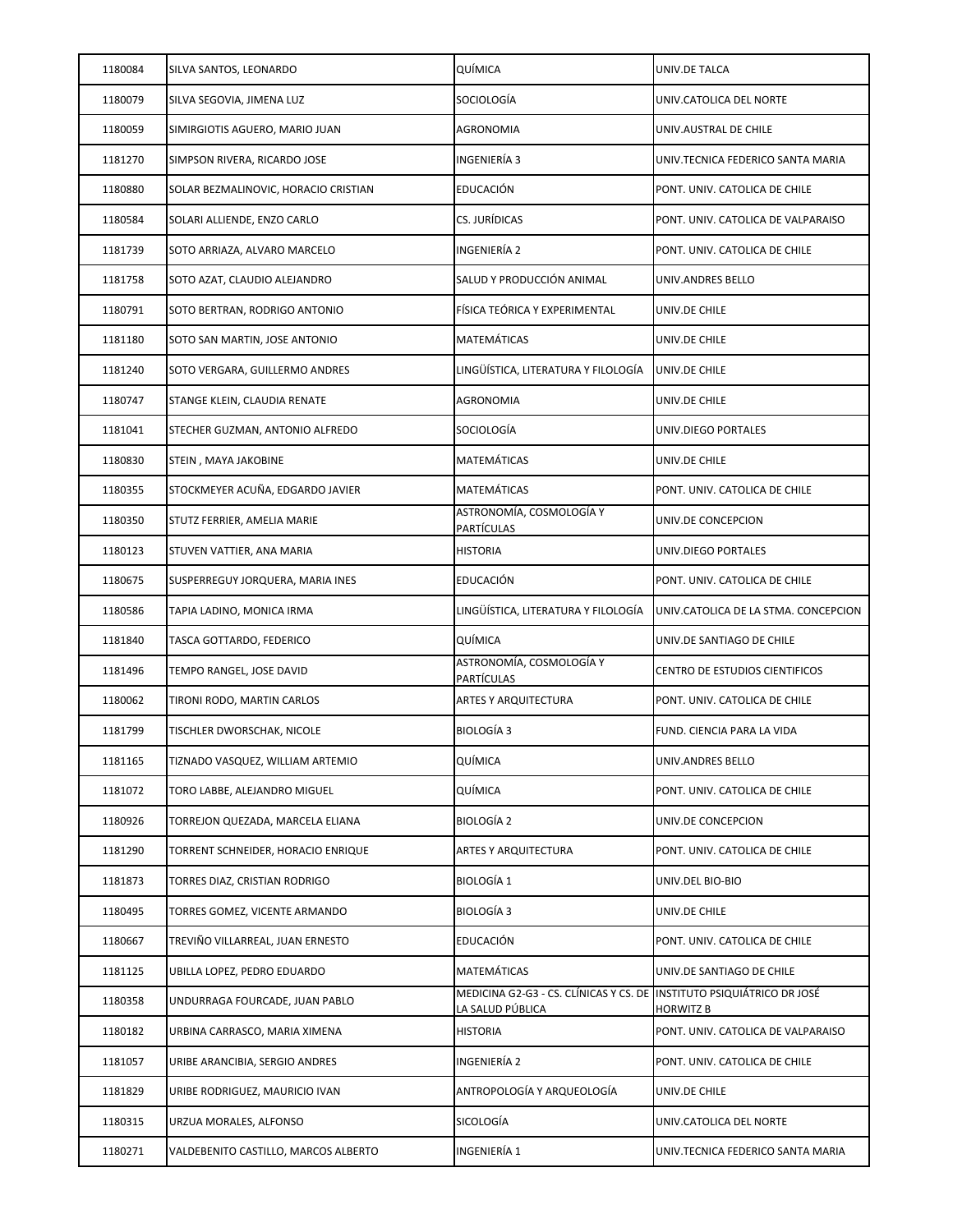| 1180084 | SILVA SANTOS, LEONARDO               | QUÍMICA                                                    | UNIV.DE TALCA                               |
|---------|--------------------------------------|------------------------------------------------------------|---------------------------------------------|
| 1180079 | SILVA SEGOVIA, JIMENA LUZ            | SOCIOLOGÍA                                                 | UNIV.CATOLICA DEL NORTE                     |
| 1180059 | SIMIRGIOTIS AGUERO, MARIO JUAN       | <b>AGRONOMIA</b>                                           | UNIV.AUSTRAL DE CHILE                       |
| 1181270 | SIMPSON RIVERA, RICARDO JOSE         | INGENIERÍA 3                                               | UNIV.TECNICA FEDERICO SANTA MARIA           |
| 1180880 | SOLAR BEZMALINOVIC, HORACIO CRISTIAN | EDUCACIÓN                                                  | PONT. UNIV. CATOLICA DE CHILE               |
| 1180584 | SOLARI ALLIENDE, ENZO CARLO          | CS. JURÍDICAS                                              | PONT. UNIV. CATOLICA DE VALPARAISO          |
| 1181739 | SOTO ARRIAZA, ALVARO MARCELO         | INGENIERÍA 2                                               | PONT. UNIV. CATOLICA DE CHILE               |
| 1181758 | SOTO AZAT, CLAUDIO ALEJANDRO         | SALUD Y PRODUCCIÓN ANIMAL                                  | UNIV.ANDRES BELLO                           |
| 1180791 | SOTO BERTRAN, RODRIGO ANTONIO        | FÍSICA TEÓRICA Y EXPERIMENTAL                              | UNIV.DE CHILE                               |
| 1181180 | SOTO SAN MARTIN, JOSE ANTONIO        | MATEMÁTICAS                                                | UNIV.DE CHILE                               |
| 1181240 | SOTO VERGARA, GUILLERMO ANDRES       | LINGÜÍSTICA, LITERATURA Y FILOLOGÍA                        | UNIV.DE CHILE                               |
| 1180747 | STANGE KLEIN, CLAUDIA RENATE         | <b>AGRONOMIA</b>                                           | UNIV.DE CHILE                               |
| 1181041 | STECHER GUZMAN, ANTONIO ALFREDO      | SOCIOLOGÍA                                                 | UNIV.DIEGO PORTALES                         |
| 1180830 | STEIN , MAYA JAKOBINE                | MATEMÁTICAS                                                | UNIV.DE CHILE                               |
| 1180355 | STOCKMEYER ACUÑA, EDGARDO JAVIER     | MATEMÁTICAS                                                | PONT. UNIV. CATOLICA DE CHILE               |
| 1180350 | STUTZ FERRIER, AMELIA MARIE          | ASTRONOMÍA, COSMOLOGÍA Y<br><b>PARTÍCULAS</b>              | UNIV.DE CONCEPCION                          |
| 1180123 | STUVEN VATTIER, ANA MARIA            | <b>HISTORIA</b>                                            | UNIV.DIEGO PORTALES                         |
| 1180675 | SUSPERREGUY JORQUERA, MARIA INES     | EDUCACIÓN                                                  | PONT. UNIV. CATOLICA DE CHILE               |
| 1180586 | TAPIA LADINO, MONICA IRMA            | LINGÜÍSTICA, LITERATURA Y FILOLOGÍA                        | UNIV.CATOLICA DE LA STMA. CONCEPCION        |
| 1181840 | TASCA GOTTARDO, FEDERICO             | QUÍMICA                                                    | UNIV.DE SANTIAGO DE CHILE                   |
| 1181496 | TEMPO RANGEL, JOSE DAVID             | ASTRONOMÍA, COSMOLOGÍA Y<br><b>PARTÍCULAS</b>              | CENTRO DE ESTUDIOS CIENTIFICOS              |
| 1180062 | TIRONI RODO, MARTIN CARLOS           | ARTES Y ARQUITECTURA                                       | PONT. UNIV. CATOLICA DE CHILE               |
| 1181799 | TISCHLER DWORSCHAK, NICOLE           | <b>BIOLOGÍA 3</b>                                          | FUND. CIENCIA PARA LA VIDA                  |
| 1181165 | TIZNADO VASQUEZ, WILLIAM ARTEMIO     | QUÍMICA                                                    | UNIV.ANDRES BELLO                           |
| 1181072 | TORO LABBE, ALEJANDRO MIGUEL         | QUÍMICA                                                    | PONT. UNIV. CATOLICA DE CHILE               |
| 1180926 | TORREJON QUEZADA, MARCELA ELIANA     | BIOLOGÍA 2                                                 | UNIV.DE CONCEPCION                          |
| 1181290 | TORRENT SCHNEIDER, HORACIO ENRIQUE   | ARTES Y ARQUITECTURA                                       | PONT. UNIV. CATOLICA DE CHILE               |
| 1181873 | TORRES DIAZ, CRISTIAN RODRIGO        | <b>BIOLOGÍA 1</b>                                          | UNIV.DEL BIO-BIO                            |
| 1180495 | TORRES GOMEZ, VICENTE ARMANDO        | <b>BIOLOGÍA 3</b>                                          | UNIV.DE CHILE                               |
| 1180667 | TREVIÑO VILLARREAL, JUAN ERNESTO     | EDUCACIÓN                                                  | PONT. UNIV. CATOLICA DE CHILE               |
| 1181125 | UBILLA LOPEZ, PEDRO EDUARDO          | MATEMÁTICAS                                                | UNIV.DE SANTIAGO DE CHILE                   |
| 1180358 | UNDURRAGA FOURCADE, JUAN PABLO       | MEDICINA G2-G3 - CS. CLÍNICAS Y CS. DE<br>LA SALUD PÚBLICA | INSTITUTO PSIQUIÁTRICO DR JOSÉ<br>HORWITZ B |
| 1180182 | URBINA CARRASCO, MARIA XIMENA        | <b>HISTORIA</b>                                            | PONT. UNIV. CATOLICA DE VALPARAISO          |
| 1181057 | URIBE ARANCIBIA, SERGIO ANDRES       | INGENIERÍA 2                                               | PONT. UNIV. CATOLICA DE CHILE               |
| 1181829 | URIBE RODRIGUEZ, MAURICIO IVAN       | ANTROPOLOGÍA Y ARQUEOLOGÍA                                 | UNIV.DE CHILE                               |
| 1180315 | URZUA MORALES, ALFONSO               | SICOLOGÍA                                                  | UNIV.CATOLICA DEL NORTE                     |
| 1180271 | VALDEBENITO CASTILLO, MARCOS ALBERTO | INGENIERÍA 1                                               | UNIV.TECNICA FEDERICO SANTA MARIA           |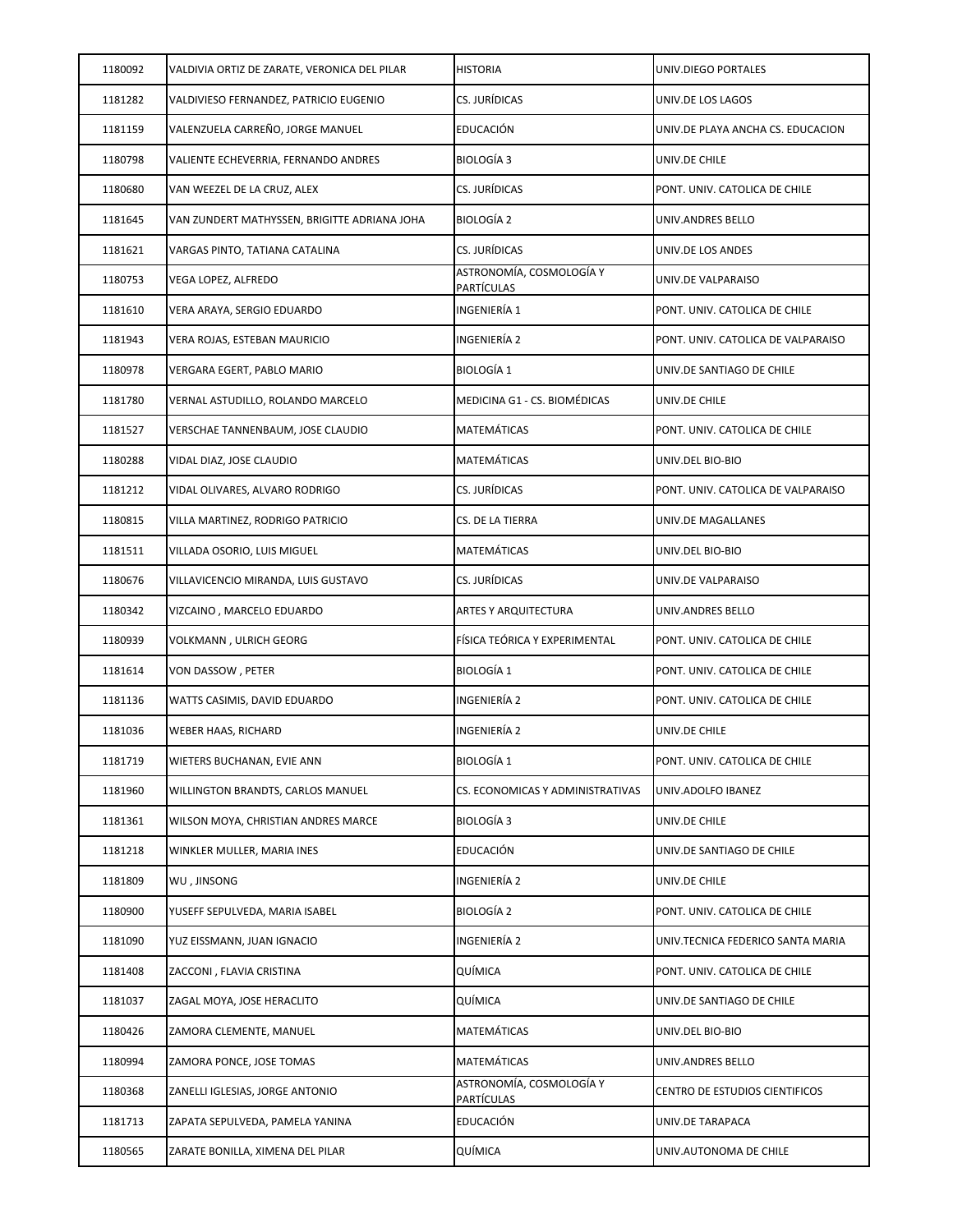| 1180092 | VALDIVIA ORTIZ DE ZARATE, VERONICA DEL PILAR | <b>HISTORIA</b>                               | UNIV.DIEGO PORTALES                |
|---------|----------------------------------------------|-----------------------------------------------|------------------------------------|
| 1181282 | VALDIVIESO FERNANDEZ, PATRICIO EUGENIO       | CS. JURÍDICAS                                 | UNIV.DE LOS LAGOS                  |
| 1181159 | VALENZUELA CARREÑO, JORGE MANUEL             | EDUCACIÓN                                     | UNIV.DE PLAYA ANCHA CS. EDUCACION  |
| 1180798 | VALIENTE ECHEVERRIA, FERNANDO ANDRES         | <b>BIOLOGÍA 3</b>                             | UNIV.DE CHILE                      |
| 1180680 | VAN WEEZEL DE LA CRUZ, ALEX                  | CS. JURÍDICAS                                 | PONT. UNIV. CATOLICA DE CHILE      |
| 1181645 | VAN ZUNDERT MATHYSSEN, BRIGITTE ADRIANA JOHA | <b>BIOLOGÍA 2</b>                             | UNIV.ANDRES BELLO                  |
| 1181621 | VARGAS PINTO, TATIANA CATALINA               | CS. JURÍDICAS                                 | UNIV.DE LOS ANDES                  |
| 1180753 | VEGA LOPEZ, ALFREDO                          | ASTRONOMÍA, COSMOLOGÍA Y<br><b>PARTÍCULAS</b> | UNIV.DE VALPARAISO                 |
| 1181610 | VERA ARAYA, SERGIO EDUARDO                   | INGENIERÍA 1                                  | PONT. UNIV. CATOLICA DE CHILE      |
| 1181943 | VERA ROJAS, ESTEBAN MAURICIO                 | INGENIERÍA 2                                  | PONT. UNIV. CATOLICA DE VALPARAISO |
| 1180978 | VERGARA EGERT, PABLO MARIO                   | <b>BIOLOGÍA 1</b>                             | UNIV.DE SANTIAGO DE CHILE          |
| 1181780 | VERNAL ASTUDILLO, ROLANDO MARCELO            | MEDICINA G1 - CS. BIOMÉDICAS                  | UNIV.DE CHILE                      |
| 1181527 | VERSCHAE TANNENBAUM, JOSE CLAUDIO            | MATEMÁTICAS                                   | PONT. UNIV. CATOLICA DE CHILE      |
| 1180288 | VIDAL DIAZ, JOSE CLAUDIO                     | MATEMÁTICAS                                   | UNIV.DEL BIO-BIO                   |
| 1181212 | VIDAL OLIVARES, ALVARO RODRIGO               | CS. JURÍDICAS                                 | PONT. UNIV. CATOLICA DE VALPARAISO |
| 1180815 | VILLA MARTINEZ, RODRIGO PATRICIO             | CS. DE LA TIERRA                              | UNIV.DE MAGALLANES                 |
| 1181511 | VILLADA OSORIO, LUIS MIGUEL                  | MATEMÁTICAS                                   | UNIV.DEL BIO-BIO                   |
| 1180676 | VILLAVICENCIO MIRANDA, LUIS GUSTAVO          | CS. JURÍDICAS                                 | UNIV.DE VALPARAISO                 |
| 1180342 | VIZCAINO, MARCELO EDUARDO                    | ARTES Y ARQUITECTURA                          | UNIV.ANDRES BELLO                  |
| 1180939 | VOLKMANN, ULRICH GEORG                       | FÍSICA TEÓRICA Y EXPERIMENTAL                 | PONT. UNIV. CATOLICA DE CHILE      |
| 1181614 | VON DASSOW , PETER                           | <b>BIOLOGÍA 1</b>                             | PONT. UNIV. CATOLICA DE CHILE      |
| 1181136 | WATTS CASIMIS, DAVID EDUARDO                 | INGENIERÍA 2                                  | PONT. UNIV. CATOLICA DE CHILE      |
| 1181036 | WEBER HAAS, RICHARD                          | INGENIERÍA 2                                  | UNIV.DE CHILE                      |
| 1181719 | WIETERS BUCHANAN, EVIE ANN                   | <b>BIOLOGÍA 1</b>                             | PONT. UNIV. CATOLICA DE CHILE      |
| 1181960 | WILLINGTON BRANDTS, CARLOS MANUEL            | CS. ECONOMICAS Y ADMINISTRATIVAS              | UNIV.ADOLFO IBANEZ                 |
| 1181361 | WILSON MOYA, CHRISTIAN ANDRES MARCE          | <b>BIOLOGÍA 3</b>                             | UNIV.DE CHILE                      |
| 1181218 | WINKLER MULLER, MARIA INES                   | EDUCACIÓN                                     | UNIV.DE SANTIAGO DE CHILE          |
| 1181809 | WU, JINSONG                                  | INGENIERÍA 2                                  | UNIV.DE CHILE                      |
| 1180900 | YUSEFF SEPULVEDA, MARIA ISABEL               | BIOLOGÍA 2                                    | PONT. UNIV. CATOLICA DE CHILE      |
| 1181090 | YUZ EISSMANN, JUAN IGNACIO                   | INGENIERÍA 2                                  | UNIV.TECNICA FEDERICO SANTA MARIA  |
| 1181408 | ZACCONI, FLAVIA CRISTINA                     | QUÍMICA                                       | PONT. UNIV. CATOLICA DE CHILE      |
| 1181037 | ZAGAL MOYA, JOSE HERACLITO                   | QUÍMICA                                       | UNIV.DE SANTIAGO DE CHILE          |
| 1180426 | ZAMORA CLEMENTE, MANUEL                      | MATEMÁTICAS                                   | UNIV.DEL BIO-BIO                   |
| 1180994 | ZAMORA PONCE, JOSE TOMAS                     | MATEMÁTICAS                                   | UNIV.ANDRES BELLO                  |
| 1180368 | ZANELLI IGLESIAS, JORGE ANTONIO              | ASTRONOMÍA, COSMOLOGÍA Y<br>PARTÍCULAS        | CENTRO DE ESTUDIOS CIENTIFICOS     |
| 1181713 | ZAPATA SEPULVEDA, PAMELA YANINA              | EDUCACIÓN                                     | UNIV.DE TARAPACA                   |
| 1180565 | ZARATE BONILLA, XIMENA DEL PILAR             | QUÍMICA                                       | UNIV.AUTONOMA DE CHILE             |